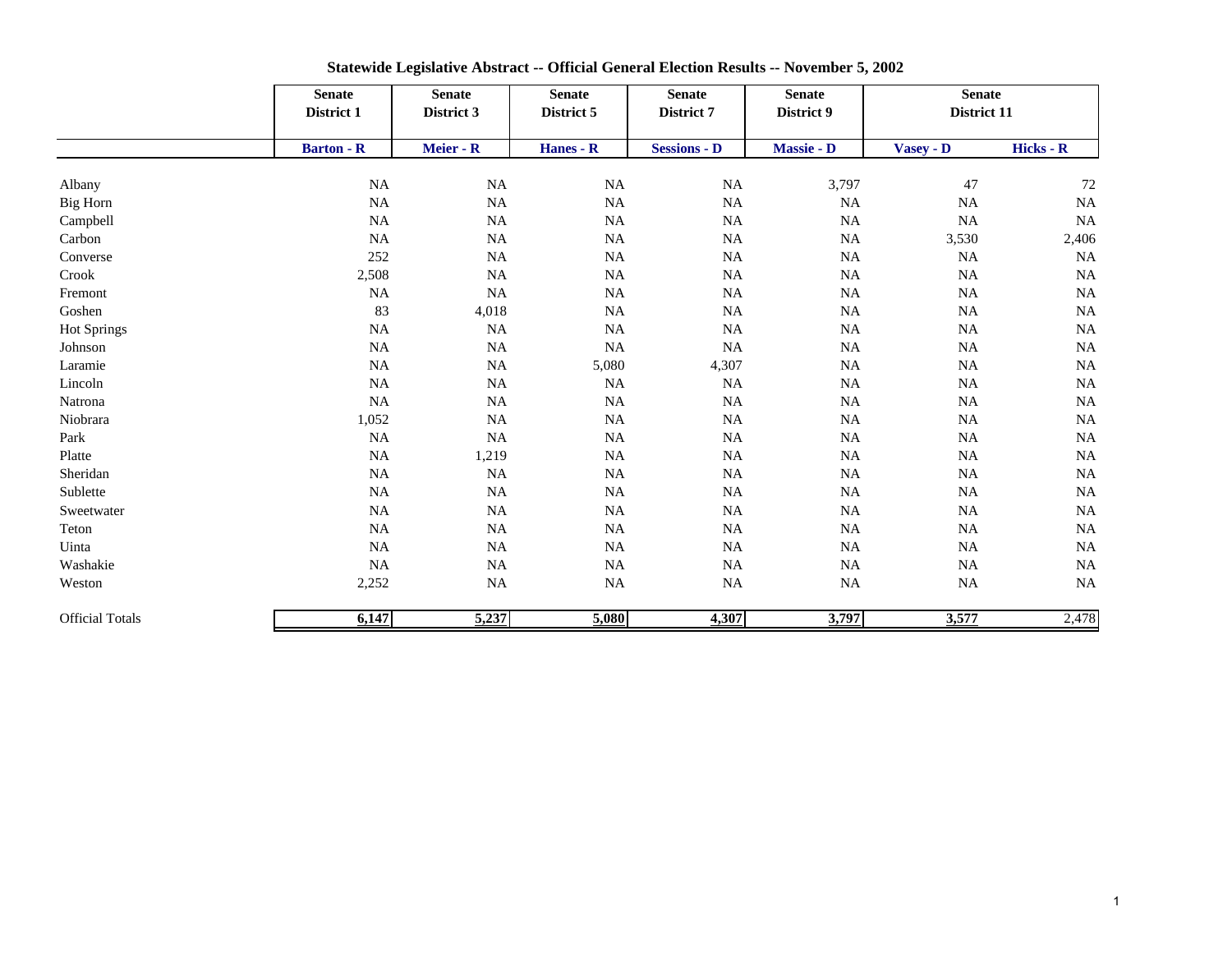|                        | <b>Senate</b><br>District 1 | <b>Senate</b><br><b>Senate</b><br>District 3<br>District 5<br>Meier - R<br>Hanes - R |           | <b>Senate</b><br>District 7 | <b>Senate</b><br>District 9 | <b>Senate</b><br>District 11 |           |
|------------------------|-----------------------------|--------------------------------------------------------------------------------------|-----------|-----------------------------|-----------------------------|------------------------------|-----------|
|                        | <b>Barton - R</b>           |                                                                                      |           | <b>Sessions - D</b>         | Massie - D                  |                              |           |
|                        |                             |                                                                                      |           |                             |                             | Vasey - D                    | Hicks - R |
| Albany                 | $\rm NA$                    | <b>NA</b>                                                                            | <b>NA</b> | <b>NA</b>                   | 3,797                       | 47                           | 72        |
| <b>Big Horn</b>        | $\rm NA$                    | $_{\rm NA}$                                                                          | $\rm NA$  | $\rm NA$                    | $\rm NA$                    | $\rm NA$                     | NA        |
| Campbell               | $\rm NA$                    | NA                                                                                   | $\rm NA$  | <b>NA</b>                   | NA                          | $\rm NA$                     | $\rm NA$  |
| Carbon                 | $\rm NA$                    | $_{\rm NA}$                                                                          | $\rm NA$  | <b>NA</b>                   | NA                          | 3,530                        | 2,406     |
| Converse               | 252                         | $_{\rm NA}$                                                                          | $\rm NA$  | <b>NA</b>                   | NA                          | <b>NA</b>                    | NA        |
| Crook                  | 2,508                       | NA                                                                                   | $\rm NA$  | $\rm NA$                    | NA                          | $\rm NA$                     | NA        |
| Fremont                | $\rm NA$                    | <b>NA</b>                                                                            | $\rm NA$  | <b>NA</b>                   | NA                          | $\rm NA$                     | NA        |
| Goshen                 | 83                          | 4,018                                                                                | $\rm NA$  | <b>NA</b>                   | NA                          | $\rm NA$                     | NA        |
| <b>Hot Springs</b>     | $\rm NA$                    | <b>NA</b>                                                                            | $\rm NA$  | <b>NA</b>                   | NA                          | $_{\rm NA}$                  | NA        |
| Johnson                | $\rm NA$                    | $_{\rm NA}$                                                                          | NA        | <b>NA</b>                   | NA                          | $_{\rm NA}$                  | NA        |
| Laramie                | $\rm NA$                    | $_{\rm NA}$                                                                          | 5,080     | 4,307                       | NA                          | $\rm NA$                     | NA        |
| Lincoln                | $\rm NA$                    | $_{\rm NA}$                                                                          | $\rm NA$  | <b>NA</b>                   | NA                          | $\rm NA$                     | <b>NA</b> |
| Natrona                | NA                          | <b>NA</b>                                                                            | $\rm NA$  | <b>NA</b>                   | NA                          | $\rm NA$                     | $\rm NA$  |
| Niobrara               | 1,052                       | $_{\rm NA}$                                                                          | $\rm NA$  | <b>NA</b>                   | NA                          | $\rm NA$                     | NA        |
| Park                   | $\rm NA$                    | NA                                                                                   | $\rm NA$  | <b>NA</b>                   | NA                          | $_{\rm NA}$                  | NA        |
| Platte                 | $\rm NA$                    | 1,219                                                                                | $\rm NA$  | <b>NA</b>                   | NA                          | $\rm NA$                     | NA        |
| Sheridan               | $\rm NA$                    | <b>NA</b>                                                                            | $\rm NA$  | <b>NA</b>                   | NA                          | $\rm NA$                     | NA        |
| Sublette               | $\rm NA$                    | $\rm NA$                                                                             | $\rm NA$  | <b>NA</b>                   | NA                          | $\rm NA$                     | $\rm NA$  |
| Sweetwater             | $\rm NA$                    | NA                                                                                   | $\rm NA$  | <b>NA</b>                   | NA                          | $_{\rm NA}$                  | NA        |
| Teton                  | $\rm NA$                    | $_{\rm NA}$                                                                          | <b>NA</b> | <b>NA</b>                   | NA                          | $\rm NA$                     | NA        |
| Uinta                  | $\rm NA$                    | $_{\rm NA}$                                                                          | NA        | <b>NA</b>                   | NA                          | $\rm NA$                     | NA        |
| Washakie               | NA                          | NA                                                                                   | $\rm NA$  | <b>NA</b>                   | NA                          | $_{\rm NA}$                  | NA        |
| Weston                 | 2,252                       | $_{\rm NA}$                                                                          | $\rm NA$  | <b>NA</b>                   | $\rm NA$                    | $\rm NA$                     | $\rm NA$  |
| <b>Official Totals</b> | 6,147                       | 5,237                                                                                | 5,080     | 4,307                       | 3,797                       | 3,577                        | 2,478     |

**Statewide Legislative Abstract -- Official General Election Results -- November 5, 2002**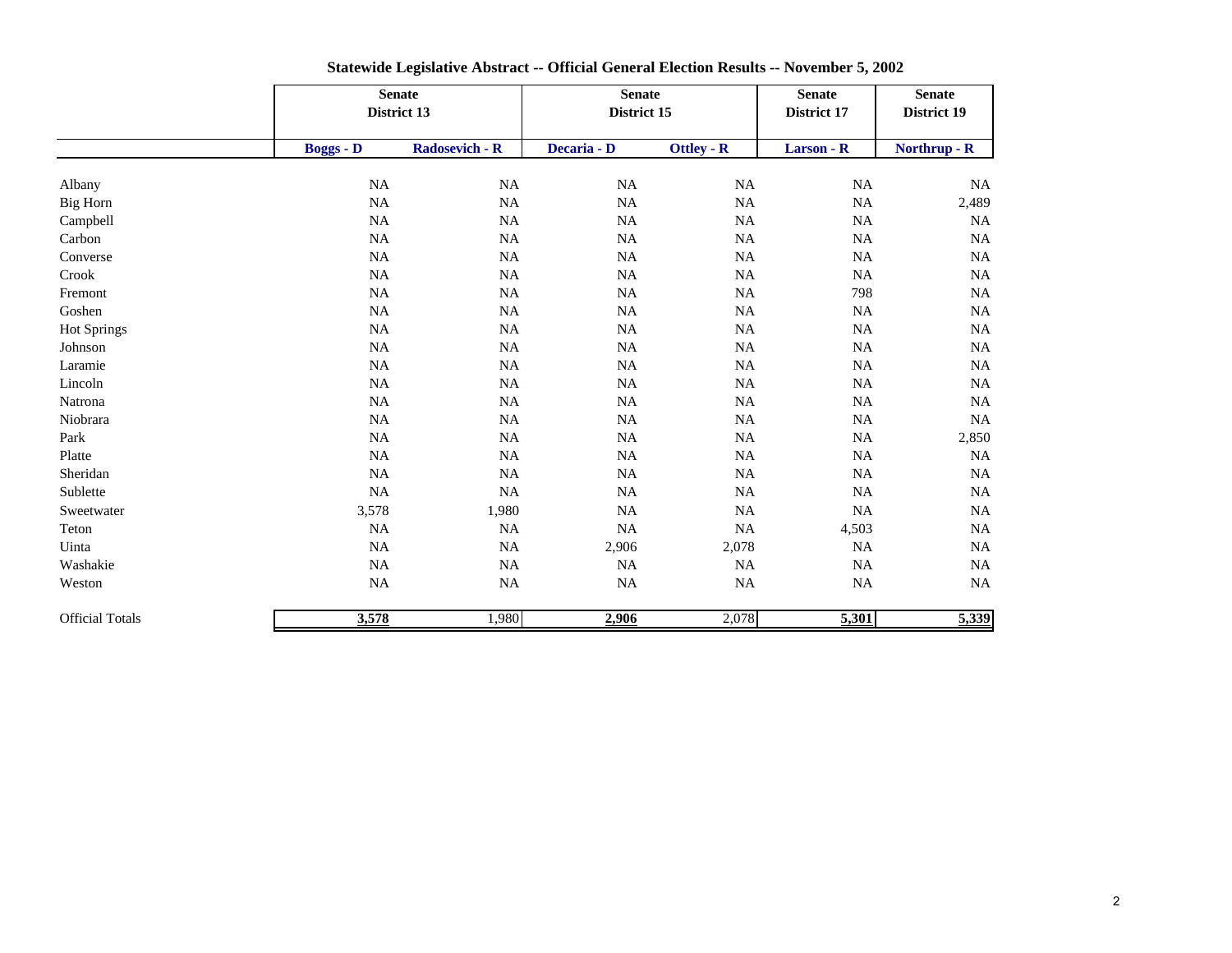|                        |                  | <b>Senate</b><br>District 13 |                    | <b>Senate</b><br>District 15 | <b>Senate</b><br>District 17 | <b>Senate</b><br>District 19 |
|------------------------|------------------|------------------------------|--------------------|------------------------------|------------------------------|------------------------------|
|                        | <b>Boggs - D</b> | <b>Radosevich - R</b>        | Decaria - D        | <b>Ottley - R</b>            | Larson - $\overline{R}$      | Northrup - R                 |
| Albany                 | NA               | NA                           | NA                 | NA                           | <b>NA</b>                    | $\rm NA$                     |
| Big Horn               | NA               | NA                           | NA                 | NA                           | NA                           | 2,489                        |
| Campbell               | NA               | NA                           | NA                 | NA                           | <b>NA</b>                    | NA                           |
| Carbon                 | $\rm NA$         | $\rm NA$                     | $\rm NA$           | $\rm NA$                     | <b>NA</b>                    | $\rm NA$                     |
| Converse               | $\rm NA$         | $\rm NA$                     | NA                 | NA                           | <b>NA</b>                    | NA                           |
| Crook                  | NA               | $\rm NA$                     | NA                 | NA                           | <b>NA</b>                    | NA                           |
| Fremont                | $\rm NA$         | NA                           | NA                 | $_{\rm NA}$                  | 798                          | NA                           |
| Goshen                 | $_{\rm NA}$      | $\rm NA$                     | NA                 | $_{\rm NA}$                  | <b>NA</b>                    | NA                           |
| <b>Hot Springs</b>     | NA               | NA                           | NA                 | $_{\rm NA}$                  | <b>NA</b>                    | NA                           |
| Johnson                | NA               | NA                           | NA                 | NA                           | <b>NA</b>                    | NA                           |
| Laramie                | NA               | NA                           | NA                 | NA                           | <b>NA</b>                    | NA                           |
| Lincoln                | NA               | NA                           | NA                 | NA                           | <b>NA</b>                    | <b>NA</b>                    |
| Natrona                | NA               | NA                           | NA                 | NA                           | <b>NA</b>                    | NA                           |
| Niobrara               | $\rm NA$         | $\rm NA$                     | $\rm NA$           | $\rm NA$                     | <b>NA</b>                    | NA                           |
| Park                   | $_{\rm NA}$      | $\rm NA$                     | NA                 | $\rm NA$                     | <b>NA</b>                    | 2,850                        |
| Platte                 | $\rm NA$         | $\rm NA$                     | NA                 | $\rm NA$                     | <b>NA</b>                    | $\rm NA$                     |
| Sheridan               | $\rm NA$         | $\rm NA$                     | $_{\rm NA}$        | $\rm NA$                     | <b>NA</b>                    | $\rm NA$                     |
| Sublette               | $\rm NA$         | NA                           | $_{\rm NA}$        | $\rm NA$                     | <b>NA</b>                    | NA                           |
| Sweetwater             | 3,578            | 1,980                        | <b>NA</b>          | <b>NA</b>                    | <b>NA</b>                    | NA                           |
| Teton                  | NA               | <b>NA</b>                    | NA                 | NA                           | 4,503                        | NA                           |
| Uinta                  | NA               | NA                           | 2,906              | 2,078                        | <b>NA</b>                    | NA                           |
| Washakie               | $\rm NA$         | NA                           | NA                 | NA                           | <b>NA</b>                    | NA                           |
| Weston                 | $\rm NA$         | $\rm NA$                     | $\rm NA$           | <b>NA</b>                    | <b>NA</b>                    | NA                           |
| <b>Official Totals</b> | 3,578            | 1,980                        | $\overline{2,906}$ | 2,078                        | 5,301                        | 5,339                        |

**Statewide Legislative Abstract -- Official General Election Results -- November 5, 2002**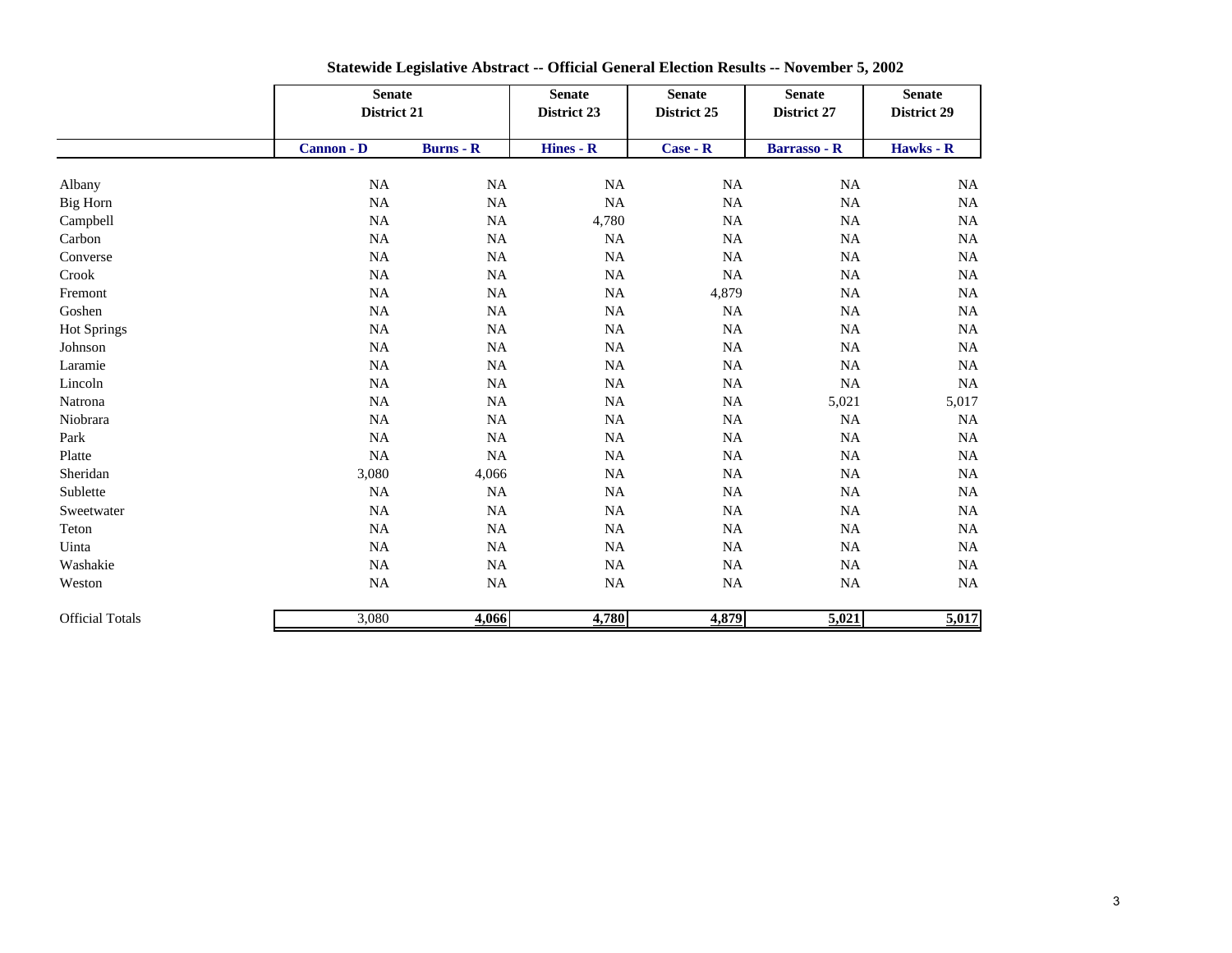|                        |                   | <b>Senate</b><br>District 21 |                        | <b>Senate</b><br>District 25 | <b>Senate</b><br>District 27 | <b>Senate</b><br>District 29 |
|------------------------|-------------------|------------------------------|------------------------|------------------------------|------------------------------|------------------------------|
|                        | <b>Cannon - D</b> | $Burns - R$                  | Hines - $\overline{R}$ | $Case - R$                   | <b>Barrasso - R</b>          | Hawks - R                    |
| Albany                 | <b>NA</b>         | $\rm NA$                     | <b>NA</b>              | $_{\rm NA}$                  | <b>NA</b>                    | <b>NA</b>                    |
| <b>Big Horn</b>        | NA                | <b>NA</b>                    | NA                     | <b>NA</b>                    | <b>NA</b>                    | <b>NA</b>                    |
| Campbell               | <b>NA</b>         | <b>NA</b>                    | 4,780                  | <b>NA</b>                    | <b>NA</b>                    | <b>NA</b>                    |
| Carbon                 | NA                | $\rm NA$                     | <b>NA</b>              | $\rm NA$                     | NA                           | $_{\rm NA}$                  |
| Converse               | $\rm NA$          | $\rm NA$                     | $\rm NA$               | $\rm NA$                     | NA                           | NA                           |
| Crook                  | NA                | NA                           | $_{\rm NA}$            | $\rm NA$                     | NA                           | $_{\rm NA}$                  |
| Fremont                | NA                | NA                           | $_{\rm NA}$            | 4,879                        | <b>NA</b>                    | NA                           |
| Goshen                 | <b>NA</b>         | <b>NA</b>                    | <b>NA</b>              | <b>NA</b>                    | <b>NA</b>                    | <b>NA</b>                    |
| Hot Springs            | NA                | NA                           | $_{\rm NA}$            | $\rm NA$                     | <b>NA</b>                    | $_{\rm NA}$                  |
| Johnson                | <b>NA</b>         | NA                           | $_{\rm NA}$            | <b>NA</b>                    | <b>NA</b>                    | <b>NA</b>                    |
| Laramie                | NA                | <b>NA</b>                    | NA                     | <b>NA</b>                    | <b>NA</b>                    | NA                           |
| Lincoln                | <b>NA</b>         | <b>NA</b>                    | <b>NA</b>              | <b>NA</b>                    | <b>NA</b>                    | <b>NA</b>                    |
| Natrona                | NA                | NA                           | NA                     | NA                           | 5,021                        | 5,017                        |
| Niobrara               | NA                | NA                           | $_{\rm NA}$            | <b>NA</b>                    | <b>NA</b>                    | $_{\rm NA}$                  |
| Park                   | $\rm NA$          | NA                           | $\rm NA$               | <b>NA</b>                    | <b>NA</b>                    | $_{\rm NA}$                  |
| Platte                 | NA                | NA                           | $\rm NA$               | <b>NA</b>                    | <b>NA</b>                    | $_{\rm NA}$                  |
| Sheridan               | 3,080             | 4,066                        | <b>NA</b>              | <b>NA</b>                    | <b>NA</b>                    | <b>NA</b>                    |
| Sublette               | NA                | $\rm NA$                     | $\rm NA$               | NA                           | <b>NA</b>                    | NA                           |
| Sweetwater             | $\rm NA$          | $\rm NA$                     | $\rm NA$               | $\rm NA$                     | <b>NA</b>                    | $_{\rm NA}$                  |
| Teton                  | NA                | NA                           | $_{\rm NA}$            | <b>NA</b>                    | <b>NA</b>                    | $_{\rm NA}$                  |
| Uinta                  | NA                | NA                           | <b>NA</b>              | <b>NA</b>                    | <b>NA</b>                    | <b>NA</b>                    |
| Washakie               | NA                | <b>NA</b>                    | NA                     | <b>NA</b>                    | <b>NA</b>                    | <b>NA</b>                    |
| Weston                 | $\rm NA$          | $\rm NA$                     | <b>NA</b>              | <b>NA</b>                    | NA                           | NA                           |
| <b>Official Totals</b> | 3,080             | 4,066                        | 4,780                  | 4,879                        | 5,021                        | 5,017                        |

**Statewide Legislative Abstract -- Official General Election Results -- November 5, 2002**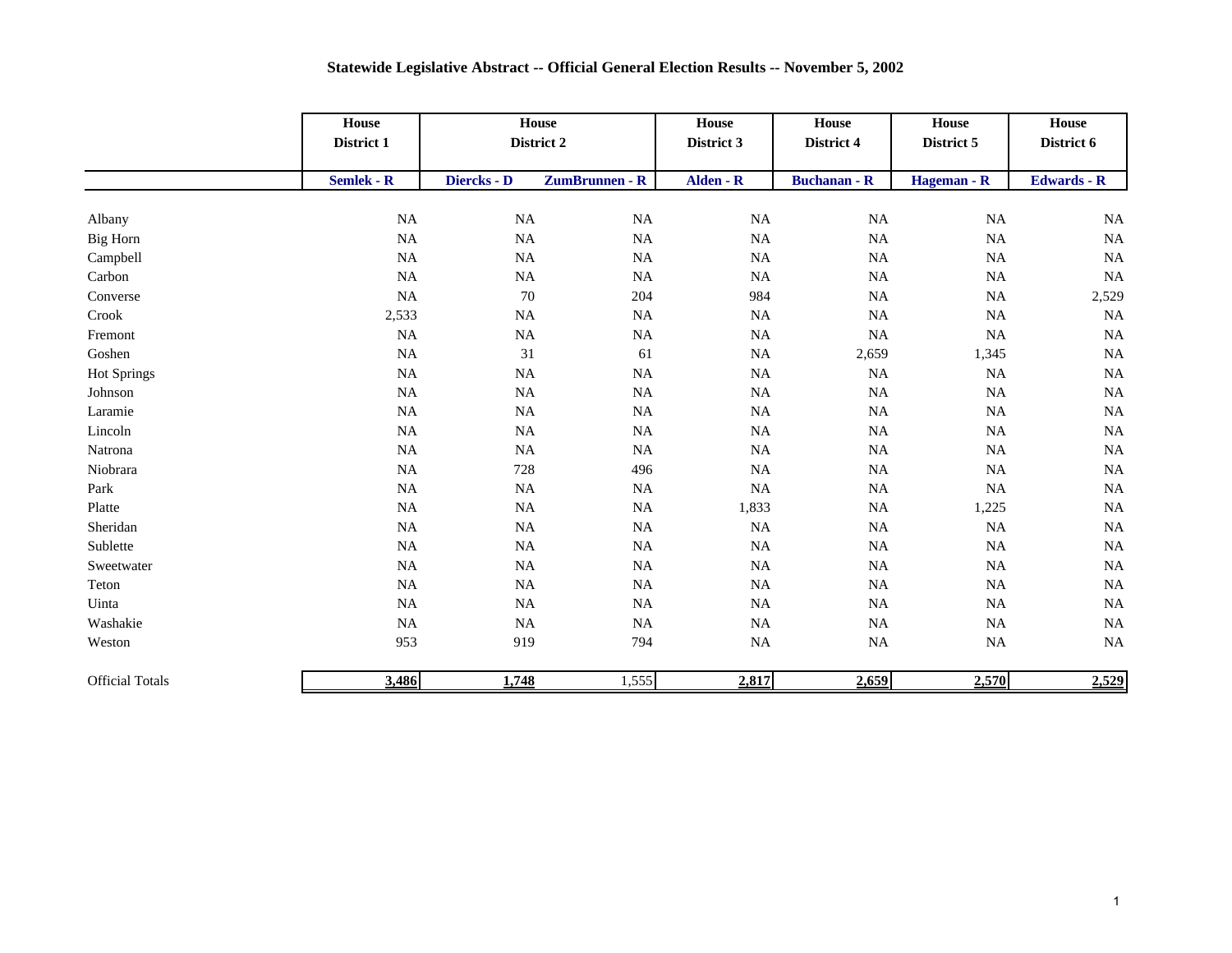|                        | House<br>District 1 | House<br>District 2 |                | <b>House</b><br>District 3 | <b>House</b><br>District 4 | ${\bf House}$<br>District 5 | House<br>District 6 |
|------------------------|---------------------|---------------------|----------------|----------------------------|----------------------------|-----------------------------|---------------------|
|                        | Semlek - R          | Diercks - D         | ZumBrunnen - R | Alden - R                  | <b>Buchanan - R</b>        | Hageman - R                 | <b>Edwards - R</b>  |
| Albany                 | $\rm NA$            | $\rm NA$            | $\rm NA$       | NA                         | NA                         | $_{\rm NA}$                 | <b>NA</b>           |
| Big Horn               | $\rm NA$            | $\rm NA$            | $\rm NA$       | NA                         | NA                         | $_{\rm NA}$                 | <b>NA</b>           |
| Campbell               | $_{\rm NA}$         | NA                  | $\rm NA$       | $\rm NA$                   | NA                         | $_{\rm NA}$                 | <b>NA</b>           |
| Carbon                 | NA                  | $\rm NA$            | NA             | NA                         | NA                         | NA                          | <b>NA</b>           |
| Converse               | NA                  | $70\,$              | 204            | 984                        | NA                         | $_{\rm NA}$                 | 2,529               |
| Crook                  | 2,533               | NA                  | <b>NA</b>      | $\rm NA$                   | NA                         | <b>NA</b>                   | <b>NA</b>           |
| Fremont                | $\rm NA$            | NA                  | $\rm NA$       | NA                         | NA                         | $\rm NA$                    | <b>NA</b>           |
| Goshen                 | $_{\rm NA}$         | 31                  | 61             | $\rm NA$                   | 2,659                      | 1,345                       | <b>NA</b>           |
| <b>Hot Springs</b>     | NA                  | <b>NA</b>           | $\rm NA$       | $\rm NA$                   | NA                         | NA                          | <b>NA</b>           |
| Johnson                | $_{\rm NA}$         | <b>NA</b>           | $\rm NA$       | $\rm NA$                   | NA                         | $\rm NA$                    | <b>NA</b>           |
| Laramie                | $_{\rm NA}$         | <b>NA</b>           | $\rm NA$       | $\rm NA$                   | NA                         | $\rm NA$                    | <b>NA</b>           |
| Lincoln                | $_{\rm NA}$         | $\rm NA$            | $\rm NA$       | $\rm NA$                   | NA                         | <b>NA</b>                   | <b>NA</b>           |
| Natrona                | $_{\rm NA}$         | NA                  | $\rm NA$       | $\rm NA$                   | NA                         | $_{\rm NA}$                 | <b>NA</b>           |
| Niobrara               | $_{\rm NA}$         | 728                 | 496            | $\rm NA$                   | NA                         | $_{\rm NA}$                 | <b>NA</b>           |
| Park                   | $_{\rm NA}$         | NA                  | $\rm NA$       | $\rm NA$                   | NA                         | $_{\rm NA}$                 | <b>NA</b>           |
| Platte                 | NA                  | NA                  | NA             | 1,833                      | NA                         | 1,225                       | <b>NA</b>           |
| Sheridan               | <b>NA</b>           | <b>NA</b>           | $\rm NA$       | $\rm NA$                   | NA                         | <b>NA</b>                   | <b>NA</b>           |
| Sublette               | $_{\rm NA}$         | <b>NA</b>           | $\rm NA$       | $\rm NA$                   | NA                         | $\rm NA$                    | <b>NA</b>           |
| Sweetwater             | $_{\rm NA}$         | <b>NA</b>           | $\rm NA$       | $\rm NA$                   | NA                         | $_{\rm NA}$                 | <b>NA</b>           |
| Teton                  | $_{\rm NA}$         | NA                  | $\rm NA$       | $\rm NA$                   | NA                         | $_{\rm NA}$                 | <b>NA</b>           |
| Uinta                  | $\rm NA$            | NA                  | $\rm NA$       | $\rm NA$                   | NA                         | $_{\rm NA}$                 | <b>NA</b>           |
| Washakie               | <b>NA</b>           | NA                  | $\rm NA$       | NA                         | NA                         | <b>NA</b>                   | <b>NA</b>           |
| Weston                 | 953                 | 919                 | 794            | NA                         | NA                         | $_{\rm NA}$                 | <b>NA</b>           |
| <b>Official Totals</b> | 3,486               | 1,748               | 1,555          | 2,817                      | 2,659                      | 2,570                       | 2,529               |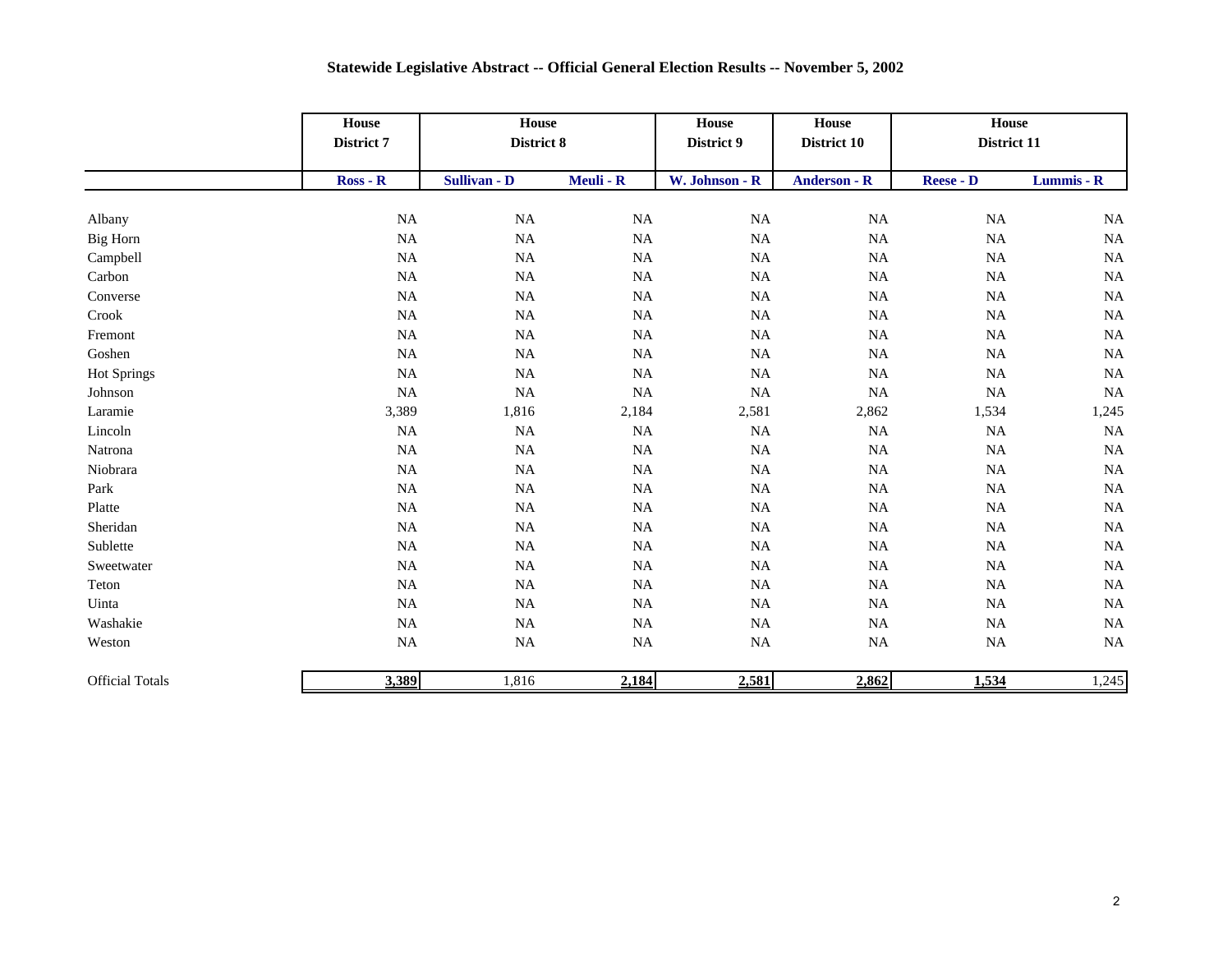|                        | <b>House</b><br>District 7 | <b>House</b><br>District 8 |             | House<br><b>House</b><br>District 9<br>District 10 |                     | House<br>District 11 |            |
|------------------------|----------------------------|----------------------------|-------------|----------------------------------------------------|---------------------|----------------------|------------|
|                        | $Ross - R$                 | Sullivan - D               | Meuli - R   | W. Johnson - R                                     | <b>Anderson - R</b> | <b>Reese - D</b>     | Lummis - R |
|                        |                            |                            |             |                                                    |                     |                      |            |
| Albany                 | $\rm NA$                   | $\rm NA$                   | NA          | $\rm NA$                                           | NA                  | NA                   | <b>NA</b>  |
| Big Horn               | $_{\rm NA}$                | NA                         | $_{\rm NA}$ | $\rm NA$                                           | NA                  | <b>NA</b>            | $\rm NA$   |
| Campbell               | <b>NA</b>                  | NA                         | NA          | $\rm NA$                                           | NA                  | $_{\rm NA}$          | NA         |
| Carbon                 | $_{\rm NA}$                | NA                         | $\rm NA$    | $\rm NA$                                           | NA                  | <b>NA</b>            | $\rm NA$   |
| Converse               | $_{\rm NA}$                | NA                         | $_{\rm NA}$ | $\rm NA$                                           | $\rm NA$            | NA                   | $\rm NA$   |
| Crook                  | $_{\rm NA}$                | NA                         | NA          | NA                                                 | NA                  | $_{\rm NA}$          | <b>NA</b>  |
| Fremont                | $_{\rm NA}$                | NA                         | NA          | NA                                                 | NA                  | $_{\rm NA}$          | NA         |
| Goshen                 | <b>NA</b>                  | NA                         | $\rm NA$    | $\rm NA$                                           | <b>NA</b>           | <b>NA</b>            | <b>NA</b>  |
| <b>Hot Springs</b>     | <b>NA</b>                  | NA                         | $_{\rm NA}$ | $\rm NA$                                           | NA                  | $_{\rm NA}$          | NA         |
| Johnson                | $_{\rm NA}$                | NA                         | $_{\rm NA}$ | $\rm NA$                                           | $\rm NA$            | $_{\rm NA}$          | NA         |
| Laramie                | 3,389                      | 1,816                      | 2,184       | 2,581                                              | 2,862               | 1,534                | 1,245      |
| Lincoln                | <b>NA</b>                  | NA                         | NA          | $\rm NA$                                           | NA                  | <b>NA</b>            | NA         |
| Natrona                | NA                         | $\rm NA$                   | NA          | $\rm NA$                                           | $\rm NA$            | $_{\rm NA}$          | $\rm NA$   |
| Niobrara               | $_{\rm NA}$                | $\rm NA$                   | $\rm NA$    | $\rm NA$                                           | $\rm NA$            | $\rm NA$             | $\rm NA$   |
| Park                   | $_{\rm NA}$                | NA                         | $_{\rm NA}$ | $\rm NA$                                           | NA                  | $_{\rm NA}$          | <b>NA</b>  |
| Platte                 | $_{\rm NA}$                | NA                         | NA          | $\rm NA$                                           | NA                  | $_{\rm NA}$          | NA         |
| Sheridan               | NA                         | NA                         | $_{\rm NA}$ | NA                                                 | NA                  | NA                   | <b>NA</b>  |
| Sublette               | <b>NA</b>                  | $\rm NA$                   | $_{\rm NA}$ | NA                                                 | NA                  | $_{\rm NA}$          | $\rm NA$   |
| Sweetwater             | $_{\rm NA}$                | NA                         | $_{\rm NA}$ | $\rm NA$                                           | NA                  | $_{\rm NA}$          | $\rm NA$   |
| Teton                  | $_{\rm NA}$                | $\rm NA$                   | $_{\rm NA}$ | $\rm NA$                                           | $\rm NA$            | $_{\rm NA}$          | $\rm NA$   |
| Uinta                  | NA                         | NA                         | $_{\rm NA}$ | $\rm NA$                                           | NA                  | $_{\rm NA}$          | $\rm NA$   |
| Washakie               | $_{\rm NA}$                | $\rm NA$                   | NA          | $\rm NA$                                           | NA                  | <b>NA</b>            | $\rm NA$   |
| Weston                 | $_{\rm NA}$                | NA                         | $_{\rm NA}$ | $\rm NA$                                           | NA                  | NA                   | <b>NA</b>  |
| <b>Official Totals</b> | 3,389                      | 1,816                      | 2,184       | 2,581                                              | 2,862               | 1,534                | 1,245      |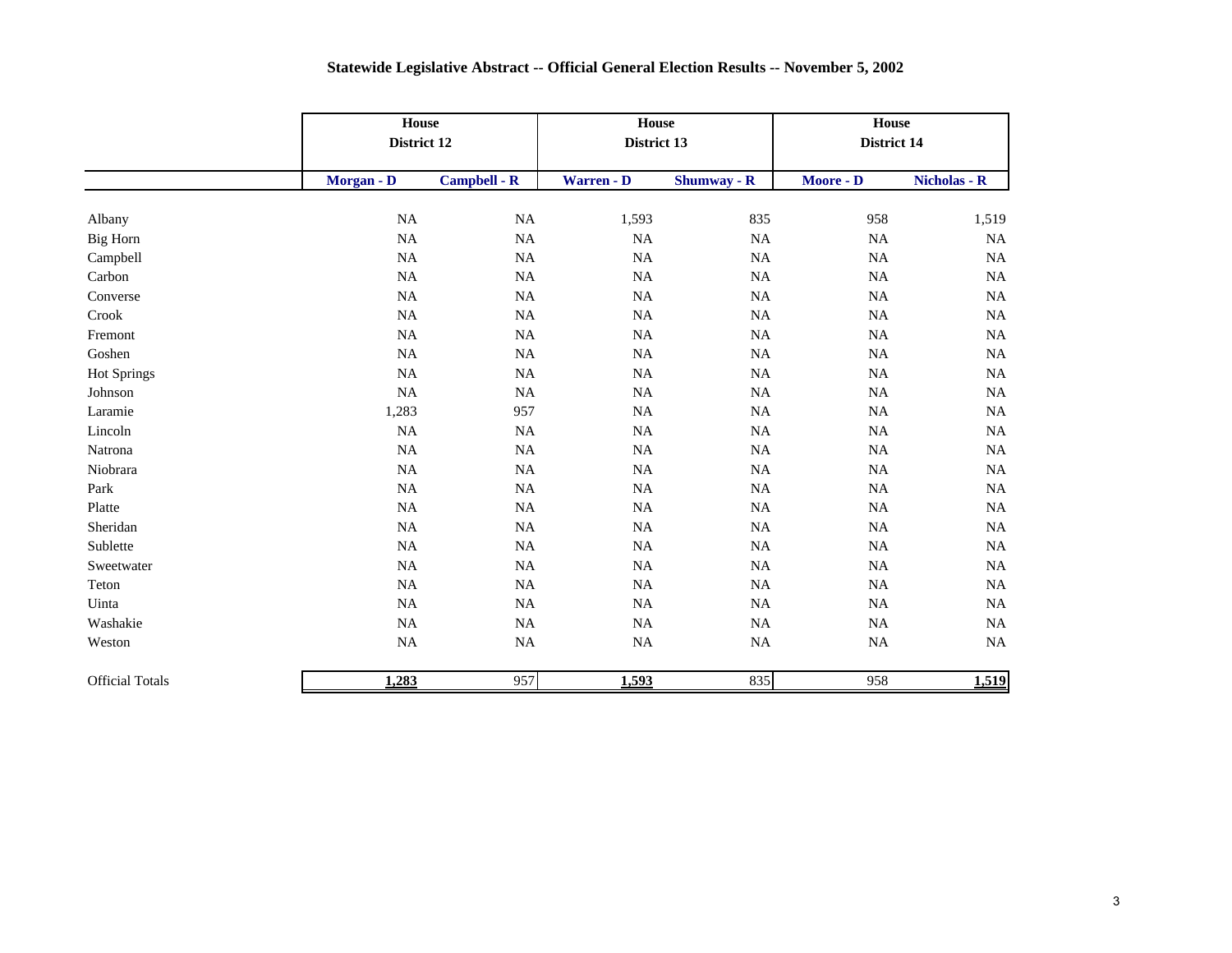|                        |             | House<br>District 12 |             | House<br>District 13 | House<br>District 14 |              |
|------------------------|-------------|----------------------|-------------|----------------------|----------------------|--------------|
|                        | Morgan - D  | <b>Campbell - R</b>  | Warren - D  | <b>Shumway - R</b>   | Moore - D            | Nicholas - R |
| Albany                 | NA          | $\rm NA$             | 1,593       | 835                  | 958                  | 1,519        |
| Big Horn               | $_{\rm NA}$ | $\rm NA$             | $\rm NA$    | $\rm NA$             | <b>NA</b>            | $\rm NA$     |
| Campbell               | NA          | NA                   | $\rm NA$    | NA                   | <b>NA</b>            | NA           |
| Carbon                 | $_{\rm NA}$ | NA                   | NA          | NA                   | <b>NA</b>            | NA           |
| Converse               | $_{\rm NA}$ | $\rm NA$             | $_{\rm NA}$ | $\rm NA$             | <b>NA</b>            | $\rm NA$     |
| Crook                  | NA          | NA                   | $_{\rm NA}$ | NA                   | <b>NA</b>            | $\rm NA$     |
| Fremont                | NA          | NA                   | $_{\rm NA}$ | NA                   | NA                   | $\rm NA$     |
| Goshen                 | NA          | $_{\rm NA}$          | $_{\rm NA}$ | $\rm NA$             | NA                   | $\rm NA$     |
| <b>Hot Springs</b>     | NA          | $\rm NA$             | $\rm NA$    | NA                   | NA                   | $\rm NA$     |
| Johnson                | NA          | NA                   | $\rm NA$    | NA                   | NA                   | NA           |
| Laramie                | 1,283       | 957                  | <b>NA</b>   | NA                   | NA                   | $\rm NA$     |
| Lincoln                | <b>NA</b>   | $\rm NA$             | $\rm NA$    | NA                   | <b>NA</b>            | $\rm NA$     |
| Natrona                | NA          | NA                   | $\rm NA$    | NA                   | NA                   | NA           |
| Niobrara               | NA          | NA                   | NA          | <b>NA</b>            | <b>NA</b>            | $\rm NA$     |
| Park                   | NA          | $\rm NA$             | $\rm NA$    | NA                   | NA                   | $\rm NA$     |
| Platte                 | <b>NA</b>   | NA                   | $\rm NA$    | NA                   | <b>NA</b>            | $\rm NA$     |
| Sheridan               | NA          | $\rm NA$             | $\rm NA$    | $\rm NA$             | NA                   | $\rm NA$     |
| Sublette               | NA          | $\rm NA$             | $\rm NA$    | $\rm NA$             | NA                   | $\rm NA$     |
| Sweetwater             | NA          | $\rm NA$             | $\rm NA$    | NA                   | NA                   | $\rm NA$     |
| Teton                  | NA          | $\rm NA$             | $\rm NA$    | NA                   | NA                   | $\rm NA$     |
| Uinta                  | NA          | $\rm NA$             | $\rm NA$    | $\rm NA$             | NA                   | $\rm NA$     |
| Washakie               | $_{\rm NA}$ | $\rm NA$             | $\rm NA$    | $\rm NA$             | NA                   | $\rm NA$     |
| Weston                 | $_{\rm NA}$ | $\rm NA$             | $\rm NA$    | $\rm NA$             | NA                   | $\rm NA$     |
| <b>Official Totals</b> | 1,283       | 957                  | 1,593       | 835                  | 958                  | 1,519        |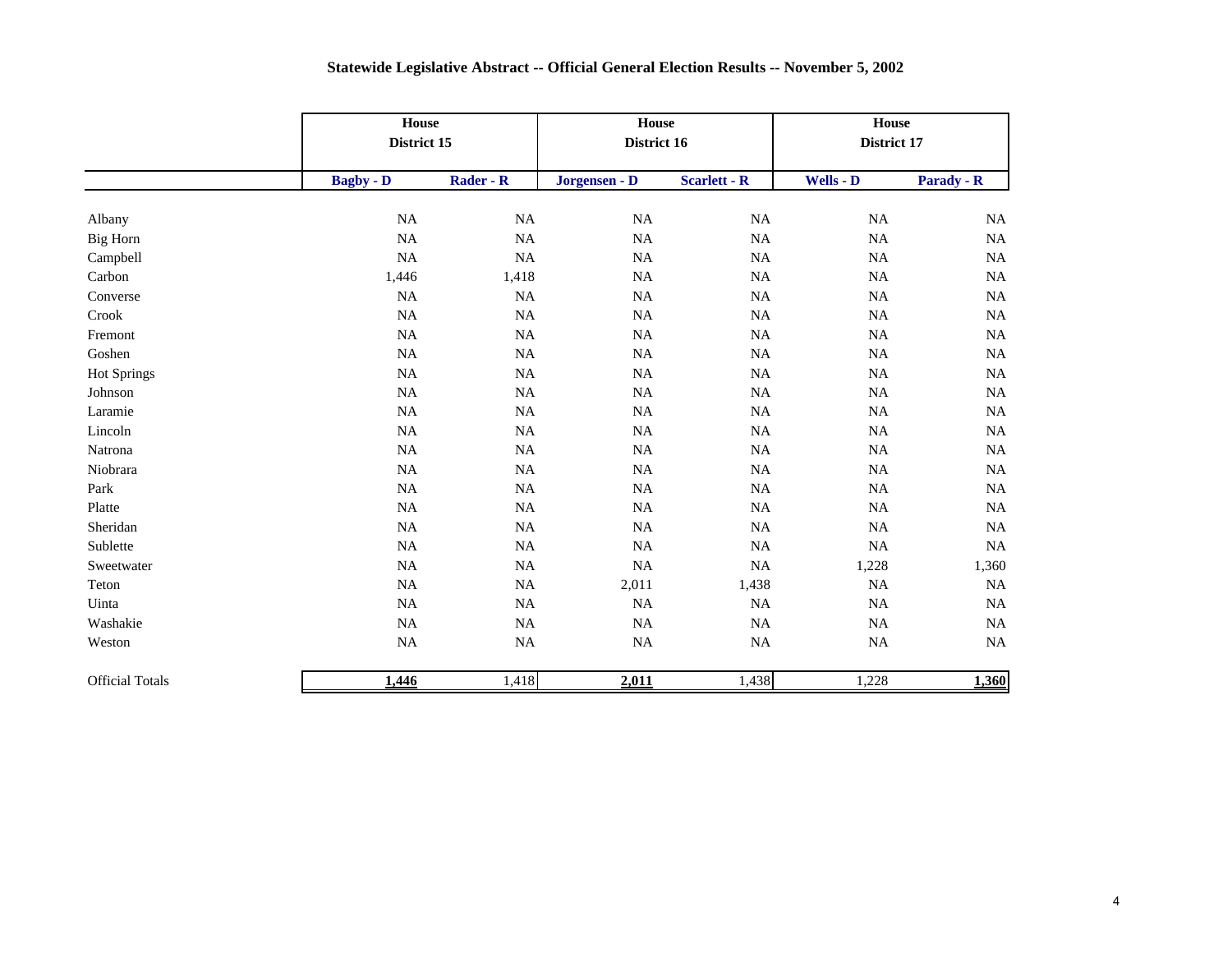|                        |                  | House<br>District 15 |               | House<br>District 16 | House<br>District 17 |            |
|------------------------|------------------|----------------------|---------------|----------------------|----------------------|------------|
|                        | <b>Bagby - D</b> | Rader - R            | Jorgensen - D | <b>Scarlett - R</b>  | Wells - D            | Parady - R |
| Albany                 | $_{\rm NA}$      | $\rm NA$             | $\rm NA$      | $_{\rm NA}$          | NA                   | $\rm NA$   |
| Big Horn               | NA               | NA                   | NA            | NA                   | <b>NA</b>            | NA         |
| Campbell               | NA               | $\rm NA$             | $\rm NA$      | NA                   | <b>NA</b>            | $\rm NA$   |
| Carbon                 | 1,446            | 1,418                | $\rm NA$      | NA                   | NA                   | $\rm NA$   |
| Converse               | <b>NA</b>        | NA                   | NA            | NA                   | <b>NA</b>            | NA         |
| Crook                  | $_{\rm NA}$      | $\rm NA$             | <b>NA</b>     | NA                   | NA                   | $\rm NA$   |
| Fremont                | <b>NA</b>        | $\rm NA$             | $\rm NA$      | $\rm NA$             | NA                   | $\rm NA$   |
| Goshen                 | $_{\rm NA}$      | NA                   | $\rm NA$      | NA                   | NA                   | NA         |
| <b>Hot Springs</b>     | <b>NA</b>        | $\rm NA$             | $\rm NA$      | NA                   | NA                   | $\rm NA$   |
| Johnson                | NA               | $\rm NA$             | $\rm NA$      | NA                   | NA                   | NA         |
| Laramie                | $_{\rm NA}$      | $\rm NA$             | $\rm NA$      | NA                   | NA                   | $\rm NA$   |
| Lincoln                | $_{\rm NA}$      | $\rm NA$             | $\rm NA$      | NA                   | NA                   | $\rm NA$   |
| Natrona                | NA               | $\rm NA$             | NA            | NA                   | NA                   | NA         |
| Niobrara               | NA               | NA                   | $\rm NA$      | NA                   | <b>NA</b>            | NA         |
| Park                   | $_{\rm NA}$      | $\rm NA$             | $\rm NA$      | NA                   | <b>NA</b>            | $\rm NA$   |
| Platte                 | NA               | NA                   | NA            | NA                   | <b>NA</b>            | NA         |
| Sheridan               | $_{\rm NA}$      | $\rm NA$             | $\rm NA$      | NA                   | <b>NA</b>            | $\rm NA$   |
| Sublette               | $_{\rm NA}$      | $\rm NA$             | $\rm NA$      | <b>NA</b>            | NA                   | $\rm NA$   |
| Sweetwater             | $_{\rm NA}$      | NA                   | NA            | $\rm NA$             | 1,228                | 1,360      |
| Teton                  | $_{\rm NA}$      | $\rm NA$             | 2,011         | 1,438                | <b>NA</b>            | $\rm NA$   |
| Uinta                  | $_{\rm NA}$      | $\rm NA$             | $\rm NA$      | NA                   | NA                   | $\rm NA$   |
| Washakie               | $_{\rm NA}$      | NA                   | NA            | NA                   | <b>NA</b>            | NA         |
| Weston                 | $_{\rm NA}$      | $\rm NA$             | $\rm NA$      | $\rm NA$             | <b>NA</b>            | $\rm NA$   |
| <b>Official Totals</b> | 1,446            | 1,418                | 2,011         | 1,438                | 1,228                | 1,360      |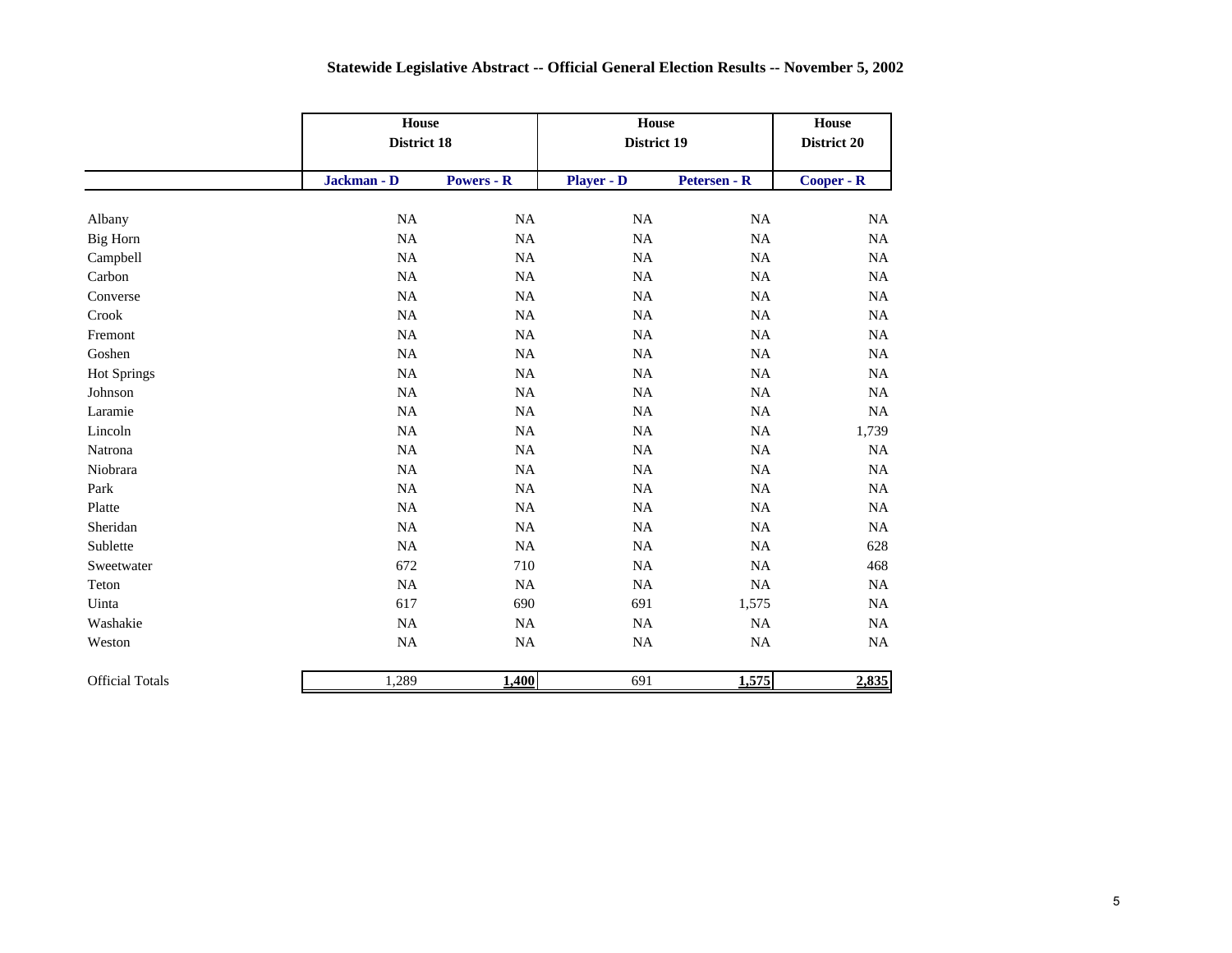|                        | House<br>District 18 |                   | House<br>District 19 |              | <b>House</b><br>District 20 |
|------------------------|----------------------|-------------------|----------------------|--------------|-----------------------------|
|                        | Jackman - D          | <b>Powers - R</b> | <b>Player - D</b>    | Petersen - R | Cooper - R                  |
| Albany                 | NA                   | $_{\rm NA}$       | NA                   | NA           | NA                          |
| <b>Big Horn</b>        | $\rm NA$             | $\rm NA$          | $\rm NA$             | <b>NA</b>    | NA                          |
| Campbell               | $\rm NA$             | NA                | $\rm NA$             | NA           | NA                          |
| Carbon                 | NA                   | NA                | NA                   | <b>NA</b>    | NA                          |
| Converse               | $\rm NA$             | NA                | NA                   | <b>NA</b>    | NA                          |
| Crook                  | $\rm NA$             | $_{\rm NA}$       | $\rm NA$             | NA           | NA                          |
| Fremont                | $\rm NA$             | NA                | $\rm NA$             | NA           | NA                          |
| Goshen                 | $\rm NA$             | $_{\rm NA}$       | $\rm NA$             | <b>NA</b>    | NA                          |
| <b>Hot Springs</b>     | NA                   | NA                | $\rm NA$             | NA           | NA                          |
| Johnson                | $\rm NA$             | NA                | NA                   | NA           | NA                          |
| Laramie                | NA                   | $_{\rm NA}$       | NA                   | NA           | NA                          |
| Lincoln                | NA                   | $_{\rm NA}$       | $\rm NA$             | <b>NA</b>    | 1,739                       |
| Natrona                | $_{\rm NA}$          | $_{\rm NA}$       | $\rm NA$             | $\rm NA$     | NA                          |
| Niobrara               | $\rm NA$             | NA                | NA                   | NA           | NA                          |
| Park                   | $\rm NA$             | <b>NA</b>         | NA                   | <b>NA</b>    | NA                          |
| Platte                 | $\rm NA$             | NA                | NA                   | NA           | NA                          |
| Sheridan               | $\rm NA$             | $_{\rm NA}$       | $\rm NA$             | $\rm NA$     | NA                          |
| Sublette               | $\rm NA$             | NA                | NA                   | NA           | 628                         |
| Sweetwater             | 672                  | 710               | $\rm NA$             | NA           | 468                         |
| Teton                  | NA                   | $_{\rm NA}$       | $\rm NA$             | $\rm NA$     | NA                          |
| Uinta                  | 617                  | 690               | 691                  | 1,575        | NA                          |
| Washakie               | $\rm NA$             | $_{\rm NA}$       | $\rm NA$             | NA           | NA                          |
| Weston                 | $\rm NA$             | <b>NA</b>         | $\rm NA$             | $\rm NA$     | NA                          |
| <b>Official Totals</b> | 1,289                | 1,400             | 691                  | 1,575        | 2,835                       |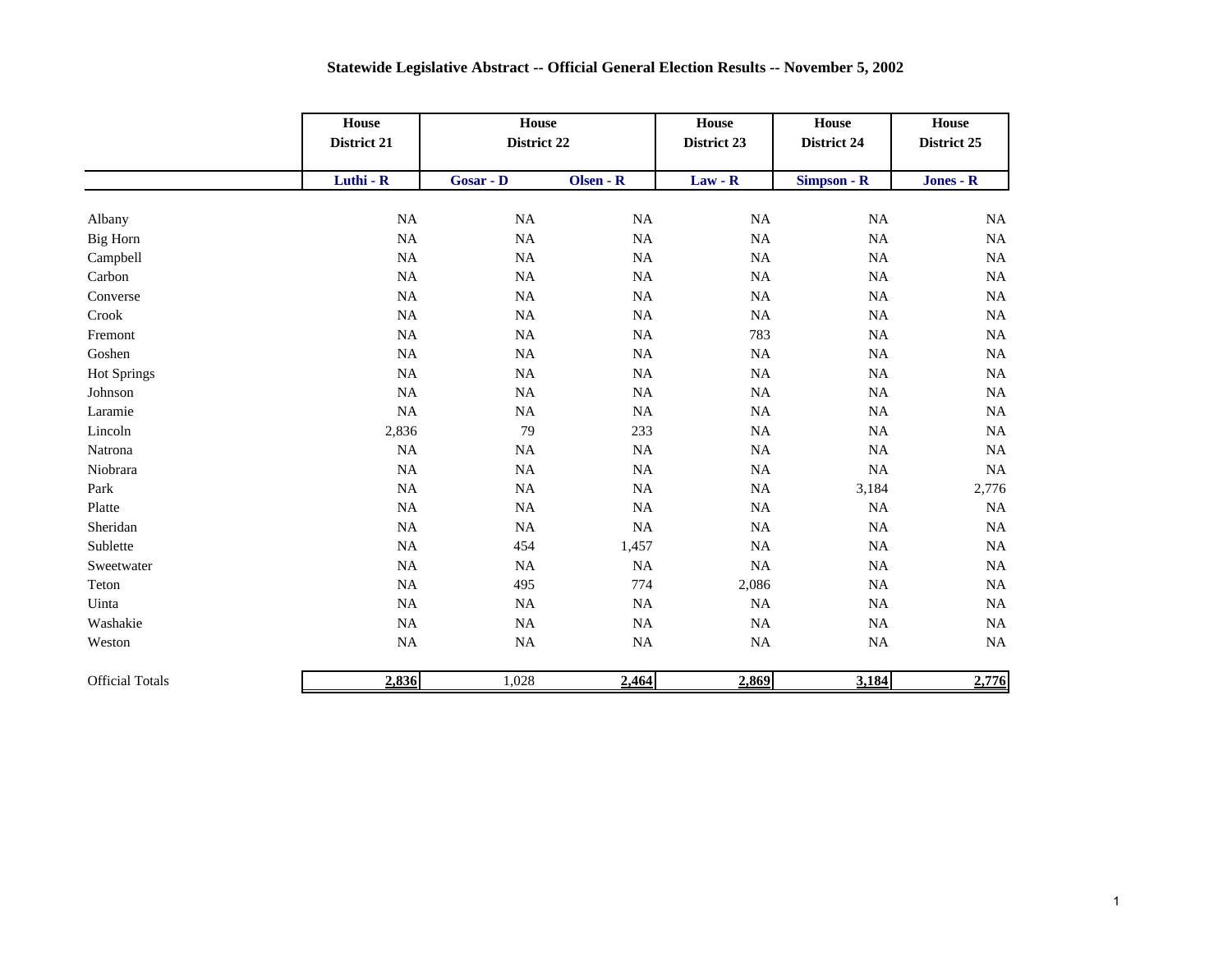|                        | House<br>District 21 | <b>House</b><br>District 22 |             | House<br>District 23 | House<br>District 24 | House<br>District 25 |
|------------------------|----------------------|-----------------------------|-------------|----------------------|----------------------|----------------------|
|                        | Luthi - R            | Gosar - D                   | Olsen - R   | $Law - R$            | Simpson - R          | Jones - R            |
| Albany                 | NA                   | NA                          | $\rm NA$    | $_{\rm NA}$          | NA                   | $\rm NA$             |
| Big Horn               | $_{\rm NA}$          | <b>NA</b>                   | $\rm NA$    | $\rm NA$             | NA                   | $\rm NA$             |
| Campbell               | $\rm NA$             | NA                          | $\rm NA$    | $\rm NA$             | NA                   | $\rm NA$             |
| Carbon                 | NA                   | NA                          | $\rm NA$    | NA                   | NA                   | NA                   |
| Converse               | NA                   | NA                          | $\rm NA$    | <b>NA</b>            | NA                   | $_{\rm NA}$          |
| Crook                  | $_{\rm NA}$          | NA                          | $\rm NA$    | $\rm NA$             | NA                   | <b>NA</b>            |
| Fremont                | $\rm NA$             | <b>NA</b>                   | $\rm NA$    | 783                  | NA                   | $\rm NA$             |
| Goshen                 | NA                   | NA                          | $\rm NA$    | $\rm NA$             | NA                   | $_{\rm NA}$          |
| <b>Hot Springs</b>     | NA                   | NA                          | $\rm NA$    | $\rm NA$             | NA                   | $_{\rm NA}$          |
| Johnson                | $\rm NA$             | NA                          | $\rm NA$    | NA                   | $\rm NA$             | $\rm NA$             |
| Laramie                | $\rm NA$             | $_{\rm NA}$                 | $\rm NA$    | NA                   | NA                   | $\rm NA$             |
| Lincoln                | 2,836                | 79                          | 233         | $\rm NA$             | NA                   | $\rm NA$             |
| Natrona                | $_{\rm NA}$          | $_{\rm NA}$                 | $\rm NA$    | $\rm NA$             | NA                   | $\rm NA$             |
| Niobrara               | $\rm NA$             | NA                          | $\rm NA$    | NA                   | NA                   | NA                   |
| Park                   | $\rm NA$             | $_{\rm NA}$                 | $\rm NA$    | NA                   | 3,184                | 2,776                |
| Platte                 | NA                   | NA                          | $\rm NA$    | NA                   | <b>NA</b>            | $\rm NA$             |
| Sheridan               | $_{\rm NA}$          | <b>NA</b>                   | $_{\rm NA}$ | $\rm NA$             | <b>NA</b>            | $\rm NA$             |
| Sublette               | $_{\rm NA}$          | 454                         | 1,457       | $\rm NA$             | $\rm NA$             | $\rm NA$             |
| Sweetwater             | $_{\rm NA}$          | NA                          | $\rm NA$    | $\rm NA$             | $\rm NA$             | $\rm NA$             |
| Teton                  | NA                   | 495                         | 774         | 2,086                | NA                   | $\rm NA$             |
| Uinta                  | $\rm NA$             | NA                          | $\rm NA$    | NA                   | NA                   | $\rm NA$             |
| Washakie               | $_{\rm NA}$          | NA                          | $_{\rm NA}$ | $\rm NA$             | NA                   | $\rm NA$             |
| Weston                 | NA                   | NA                          | $_{\rm NA}$ | $\rm NA$             | NA                   | $_{\rm NA}$          |
| <b>Official Totals</b> | 2,836                | 1,028                       | 2,464       | 2,869                | 3,184                | 2,776                |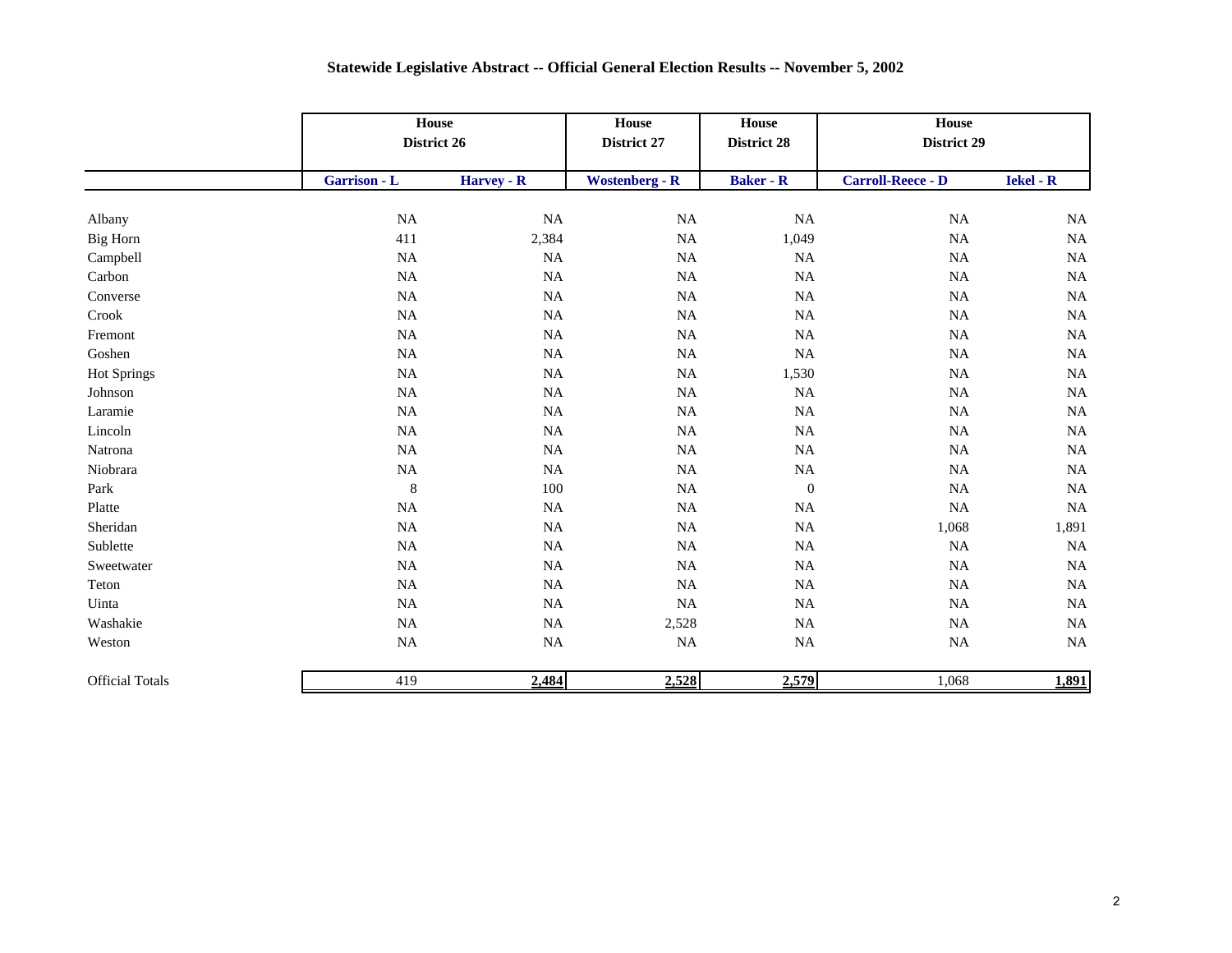|                        |              | House<br>District 26 |                       | House<br><b>District 28</b> | House<br>District 29     |                  |
|------------------------|--------------|----------------------|-----------------------|-----------------------------|--------------------------|------------------|
|                        | Garrison - L | Harvey - R           | <b>Wostenberg - R</b> | <b>Baker - R</b>            | <b>Carroll-Reece - D</b> | <b>Iekel - R</b> |
| Albany                 | $_{\rm NA}$  | NA                   | NA                    | $\rm NA$                    | NA                       | $\rm NA$         |
| Big Horn               | 411          | 2,384                | NA                    | 1,049                       | $\rm NA$                 | $\rm NA$         |
| Campbell               | NA           | NA                   | <b>NA</b>             | NA                          | NA                       | NA               |
| Carbon                 | NA           | $\rm NA$             | <b>NA</b>             | NA                          | NA                       | NA               |
| Converse               | $\rm NA$     | NA                   | NA                    | $\rm NA$                    | NA                       | NA               |
| Crook                  | NA           | $\rm NA$             | NA                    | $\rm NA$                    | NA                       | NA               |
| Fremont                | $\rm NA$     | $\rm NA$             | $\rm NA$              | $\rm NA$                    | NA                       | $\rm NA$         |
| Goshen                 | NA           | NA                   | NA                    | $\rm NA$                    | NA                       | $\rm NA$         |
| <b>Hot Springs</b>     | NA           | $\rm NA$             | $\rm NA$              | 1,530                       | $_{\rm NA}$              | NA               |
| Johnson                | $\rm NA$     | NA                   | NA                    | $\rm NA$                    | NA                       | $\rm NA$         |
| Laramie                | NA           | NA                   | NA                    | $\rm NA$                    | NA                       | NA               |
| Lincoln                | NA           | $\rm NA$             | $\rm NA$              | $\rm NA$                    | $_{\rm NA}$              | $\rm NA$         |
| Natrona                | NA           | $\rm NA$             | NA                    | $\rm NA$                    | NA                       | $\rm NA$         |
| Niobrara               | NA           | NA                   | NA                    | NA                          | NA                       | $\rm NA$         |
| Park                   | $\,$ 8 $\,$  | 100                  | NA                    | $\boldsymbol{0}$            | NA                       | NA               |
| Platte                 | NA           | NA                   | <b>NA</b>             | $\rm NA$                    | NA                       | <b>NA</b>        |
| Sheridan               | NA           | $\rm NA$             | NA                    | $\rm NA$                    | 1,068                    | 1,891            |
| Sublette               | $\rm NA$     | NA                   | $\rm NA$              | $\rm NA$                    | $\rm NA$                 | NA               |
| Sweetwater             | $\rm NA$     | $_{\rm NA}$          | NA                    | $\rm NA$                    | NA                       | NA               |
| Teton                  | NA           | NA                   | NA                    | $\rm NA$                    | NA                       | NA               |
| Uinta                  | NA           | NA                   | NA                    | $\rm NA$                    | NA                       | NA               |
| Washakie               | NA           | $_{\rm NA}$          | 2,528                 | $\rm NA$                    | $_{\rm NA}$              | NA               |
| Weston                 | NA           | $\rm NA$             | $\rm NA$              | $\rm NA$                    | NA                       | NA               |
| <b>Official Totals</b> | 419          | 2,484                | 2,528                 | 2,579                       | 1,068                    | 1,891            |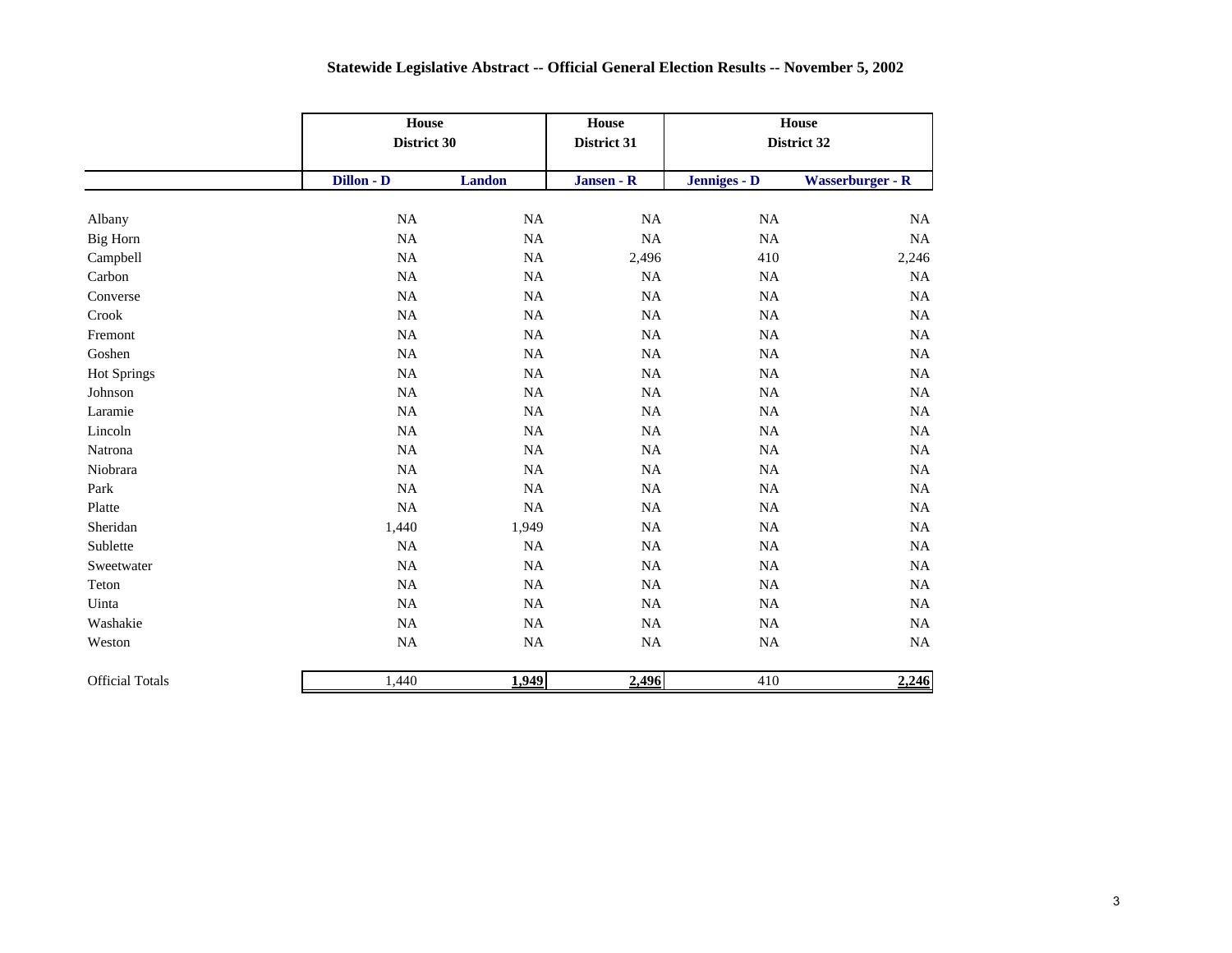|                        | House<br>District 30 |               | House<br>District 31 | House<br>District 32 |                         |
|------------------------|----------------------|---------------|----------------------|----------------------|-------------------------|
|                        | Dillon - D           | <b>Landon</b> | Jansen - R           | Jenniges - D         | <b>Wasserburger - R</b> |
| Albany                 | $_{\rm NA}$          | $\rm NA$      | $\rm NA$             | $\rm NA$             | NA                      |
| Big Horn               | $_{\rm NA}$          | $\rm NA$      | <b>NA</b>            | $\rm NA$             | $\rm NA$                |
| Campbell               | $\rm NA$             | NA            | 2,496                | 410                  | 2,246                   |
| Carbon                 | NA                   | NA            | <b>NA</b>            | $_{\rm NA}$          | NA                      |
| Converse               | NA                   | NA            | NA                   | NA                   | NA                      |
| Crook                  | NA                   | $\rm NA$      | NA                   | $\rm NA$             | NA                      |
| Fremont                | NA                   | NA            | NA                   | NA                   | NA                      |
| Goshen                 | $\rm NA$             | $\rm NA$      | $\rm NA$             | $\rm NA$             | $_{\rm NA}$             |
| <b>Hot Springs</b>     | $\rm NA$             | $\rm NA$      | $\rm NA$             | $\rm NA$             | $_{\rm NA}$             |
| Johnson                | $\rm NA$             | NA            | NA                   | $\rm NA$             | NA                      |
| Laramie                | NA                   | $\rm NA$      | NA                   | NA                   | $_{\rm NA}$             |
| Lincoln                | NA                   | $\rm NA$      | <b>NA</b>            | NA                   | $_{\rm NA}$             |
| Natrona                | $\rm NA$             | $\rm NA$      | NA                   | $\rm NA$             | $_{\rm NA}$             |
| Niobrara               | NA                   | NA            | NA                   | NA                   | NA                      |
| Park                   | NA                   | NA            | <b>NA</b>            | NA                   | NA                      |
| Platte                 | NA                   | $\rm NA$      | NA                   | NA                   | $_{\rm NA}$             |
| Sheridan               | 1,440                | 1,949         | $\rm NA$             | $\rm NA$             | $_{\rm NA}$             |
| Sublette               | NA                   | NA            | NA                   | NA                   | NA                      |
| Sweetwater             | NA                   | $\rm NA$      | $\rm NA$             | $\rm NA$             | $_{\rm NA}$             |
| Teton                  | NA                   | $\rm NA$      | $\rm NA$             | $\rm NA$             | NA                      |
| Uinta                  | $\rm NA$             | NA            | NA                   | NA                   | NA                      |
| Washakie               | $_{\rm NA}$          | $\rm NA$      | NA                   | $\rm NA$             | $_{\rm NA}$             |
| Weston                 | $\rm NA$             | $\rm NA$      | $\rm NA$             | $\rm NA$             | $_{\rm NA}$             |
| <b>Official Totals</b> | 1,440                | 1,949         | 2,496                | 410                  | 2,246                   |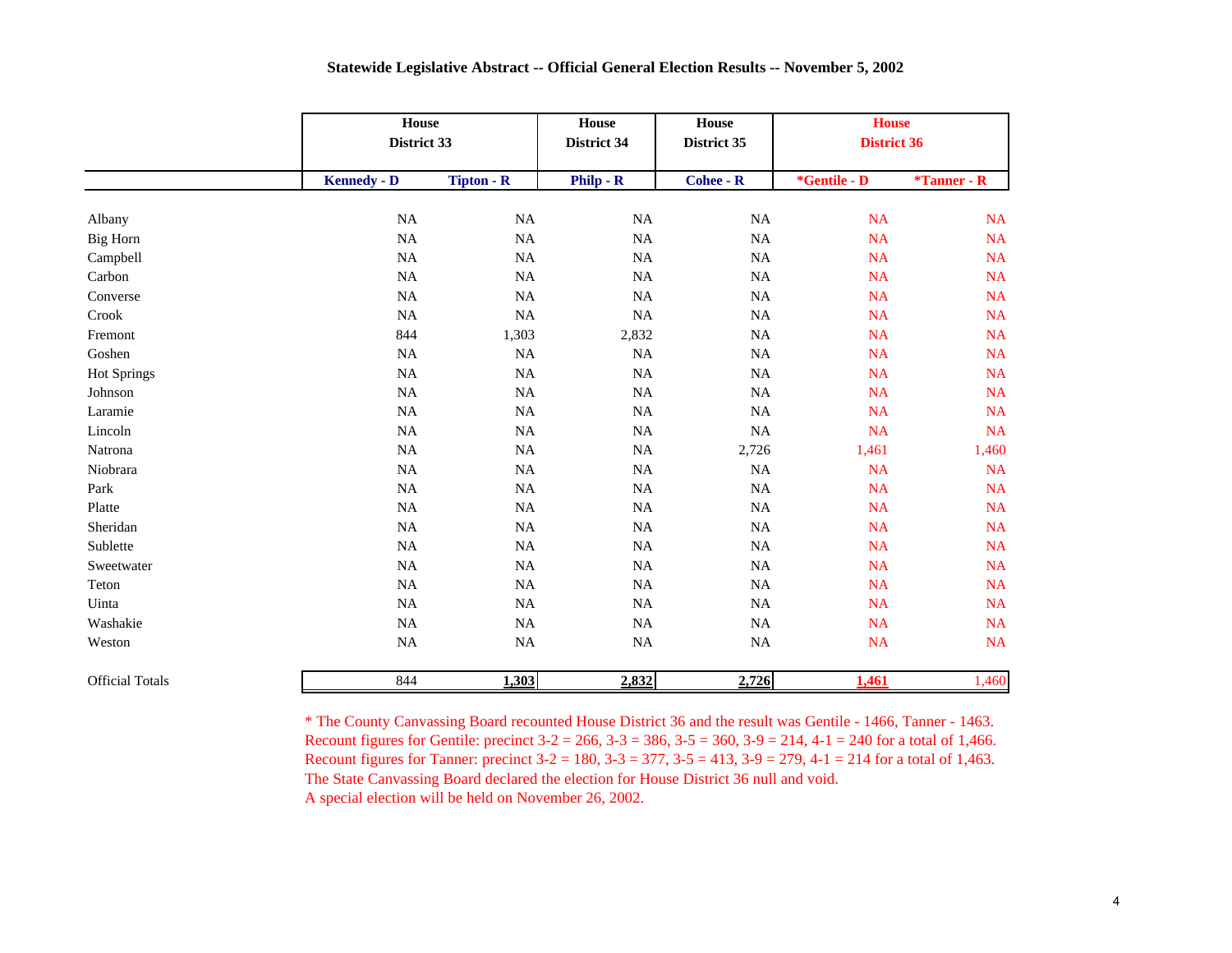|                        |                    | House<br>District 33 |              | House<br>District 35 | <b>House</b><br><b>District 36</b> |                |
|------------------------|--------------------|----------------------|--------------|----------------------|------------------------------------|----------------|
|                        | <b>Kennedy - D</b> | <b>Tipton - R</b>    | $Philip - R$ | <b>Cohee - R</b>     | *Gentile - D                       | $*$ Tanner - R |
| Albany                 | NA                 | $_{\rm NA}$          | $\rm NA$     | $_{\rm NA}$          | <b>NA</b>                          | $\rm NA$       |
| <b>Big Horn</b>        | NA                 | NA                   | $\rm NA$     | NA                   | <b>NA</b>                          | NA             |
| Campbell               | NA                 | $_{\rm NA}$          | $\rm NA$     | $\rm NA$             | <b>NA</b>                          | NA             |
| Carbon                 | NA                 | NA                   | NA           | NA                   | <b>NA</b>                          | <b>NA</b>      |
| Converse               | NA                 | <b>NA</b>            | $\rm NA$     | $\rm NA$             | <b>NA</b>                          | NA             |
| Crook                  | NA                 | <b>NA</b>            | NA           | NA                   | <b>NA</b>                          | <b>NA</b>      |
| Fremont                | 844                | 1,303                | 2,832        | NA                   | <b>NA</b>                          | NA             |
| Goshen                 | $_{\rm NA}$        | $\rm NA$             | $\rm NA$     | NA                   | <b>NA</b>                          | NA             |
| <b>Hot Springs</b>     | $_{\rm NA}$        | <b>NA</b>            | $\rm NA$     | $\rm NA$             | <b>NA</b>                          | NA             |
| Johnson                | $_{\rm NA}$        | $\rm NA$             | $\rm NA$     | $\rm NA$             | <b>NA</b>                          | NA             |
| Laramie                | $_{\rm NA}$        | $\rm NA$             | $\rm NA$     | $\rm NA$             | <b>NA</b>                          | NA             |
| Lincoln                | NA                 | $_{\rm NA}$          | $\rm NA$     | $\rm NA$             | <b>NA</b>                          | NA             |
| Natrona                | NA                 | $_{\rm NA}$          | $\rm NA$     | 2,726                | 1,461                              | 1,460          |
| Niobrara               | NA                 | $_{\rm NA}$          | $\rm NA$     | $\rm NA$             | <b>NA</b>                          | NA             |
| Park                   | NA                 | $_{\rm NA}$          | $\rm NA$     | $\rm NA$             | <b>NA</b>                          | NA             |
| Platte                 | NA                 | NA                   | NA           | NA                   | <b>NA</b>                          | NA             |
| Sheridan               | NA                 | $_{\rm NA}$          | $\rm NA$     | $\rm NA$             | <b>NA</b>                          | NA             |
| Sublette               | NA                 | $\rm NA$             | $\rm NA$     | $\rm NA$             | <b>NA</b>                          | NA             |
| Sweetwater             | NA                 | $_{\rm NA}$          | $\rm NA$     | <b>NA</b>            | <b>NA</b>                          | NA             |
| Teton                  | NA                 | NA                   | NA           | NA                   | <b>NA</b>                          | NA             |
| Uinta                  | $\rm NA$           | $\rm NA$             | $\rm NA$     | $\rm NA$             | <b>NA</b>                          | NA             |
| Washakie               | $_{\rm NA}$        | NA                   | $\rm NA$     | $\rm NA$             | <b>NA</b>                          | NA             |
| Weston                 | $\rm NA$           | $\rm NA$             | $\rm NA$     | <b>NA</b>            | <b>NA</b>                          | NA             |
| <b>Official Totals</b> | 844                | 1,303                | 2,832        | 2,726                | 1,461                              | 1,460          |

\* The County Canvassing Board recounted House District 36 and the result was Gentile - 1466, Tanner - 1463. Recount figures for Gentile: precinct  $3-2 = 266$ ,  $3-3 = 386$ ,  $3-5 = 360$ ,  $3-9 = 214$ ,  $4-1 = 240$  for a total of 1,466. Recount figures for Tanner: precinct  $3-2 = 180$ ,  $3-3 = 377$ ,  $3-5 = 413$ ,  $3-9 = 279$ ,  $4-1 = 214$  for a total of 1,463. The State Canvassing Board declared the election for House District 36 null and void.

A special election will be held on November 26, 2002.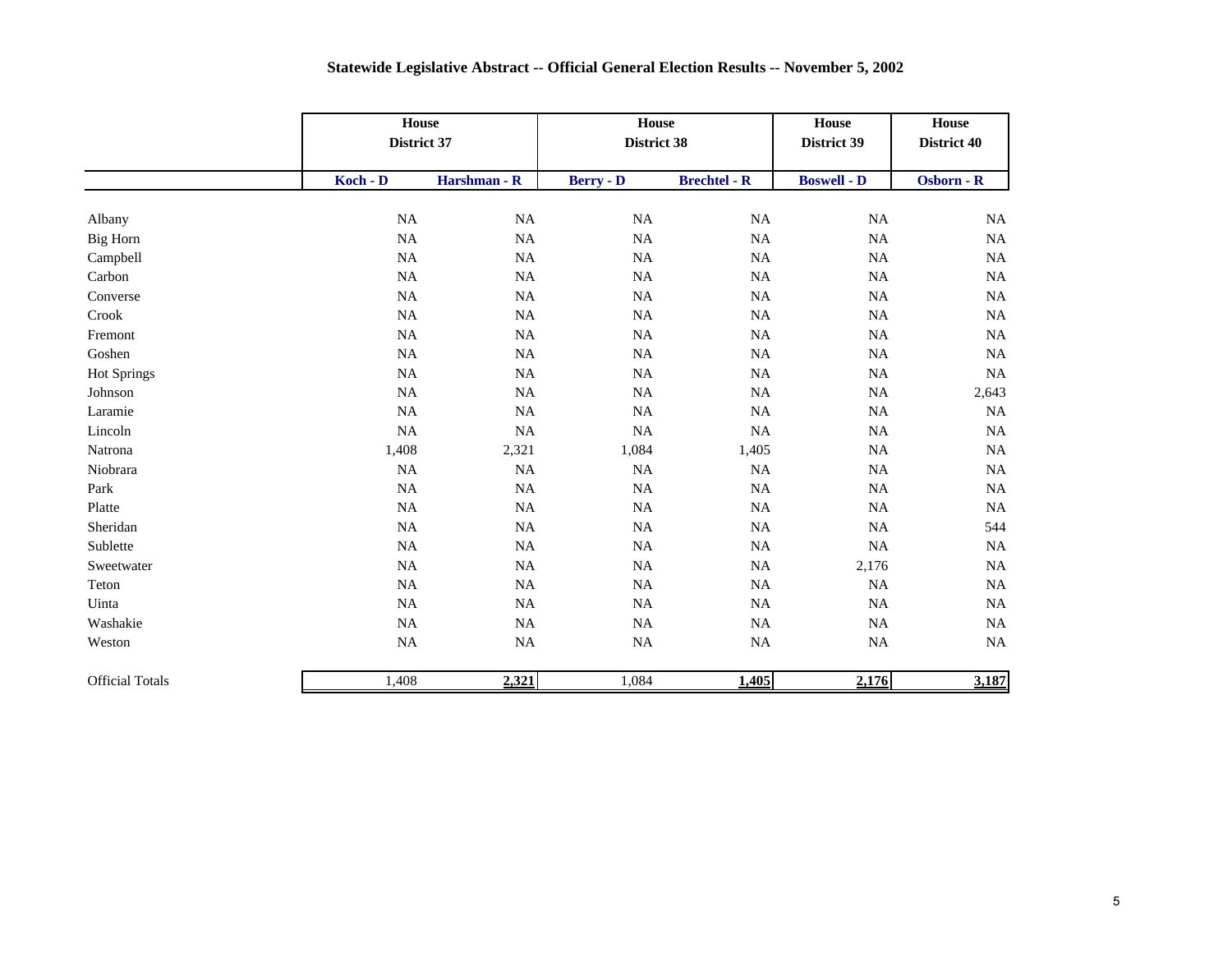|                        |             | House<br>District 37 |                  | House<br>District 38 | House<br>District 39 | House<br>District 40 |
|------------------------|-------------|----------------------|------------------|----------------------|----------------------|----------------------|
|                        | Koch - D    | Harshman - R         | <b>Berry - D</b> | <b>Brechtel - R</b>  | <b>Boswell - D</b>   | Osborn - R           |
| Albany                 | $_{\rm NA}$ | $\rm NA$             | $_{\rm NA}$      | $\rm NA$             | $\rm NA$             | $_{\rm NA}$          |
| Big Horn               | $_{\rm NA}$ | $\rm NA$             | $\rm NA$         | $\rm NA$             | $\rm NA$             | NA                   |
| Campbell               | $_{\rm NA}$ | $_{\rm NA}$          | NA               | $\rm NA$             | $_{\rm NA}$          | <b>NA</b>            |
| Carbon                 | NA          | NA                   | NA               | NA                   | $\rm NA$             | <b>NA</b>            |
| Converse               | NA          | $_{\rm NA}$          | NA               | NA                   | $\rm NA$             | <b>NA</b>            |
| Crook                  | $_{\rm NA}$ | $_{\rm NA}$          | $\rm NA$         | <b>NA</b>            | $\rm NA$             | <b>NA</b>            |
| Fremont                | NA          | <b>NA</b>            | $\rm NA$         | $\rm NA$             | $\rm NA$             | <b>NA</b>            |
| Goshen                 | NA          | <b>NA</b>            | $\rm NA$         | NA                   | $\rm NA$             | <b>NA</b>            |
| Hot Springs            | $_{\rm NA}$ | NA                   | NA               | $\rm NA$             | $\rm NA$             | <b>NA</b>            |
| Johnson                | $_{\rm NA}$ | $_{\rm NA}$          | NA               | <b>NA</b>            | $\rm NA$             | 2,643                |
| Laramie                | NA          | $_{\rm NA}$          | $\rm NA$         | $\rm NA$             | $\rm NA$             | <b>NA</b>            |
| Lincoln                | NA          | $\rm NA$             | NA               | NA                   | $\rm NA$             | <b>NA</b>            |
| Natrona                | 1,408       | 2,321                | 1,084            | 1,405                | $\rm NA$             | NA                   |
| Niobrara               | NA          | $_{\rm NA}$          | NA               | <b>NA</b>            | $_{\rm NA}$          | $_{\rm NA}$          |
| Park                   | NA          | <b>NA</b>            | $\rm NA$         | $\rm NA$             | $\rm NA$             | NA                   |
| Platte                 | NA          | <b>NA</b>            | $\rm NA$         | $\rm NA$             | $\rm NA$             | NA                   |
| Sheridan               | NA          | NA                   | NA               | NA                   | $\rm NA$             | 544                  |
| Sublette               | NA          | <b>NA</b>            | NA               | $\rm NA$             | NA                   | NA                   |
| Sweetwater             | $\rm NA$    | $_{\rm NA}$          | $\rm NA$         | $\rm NA$             | 2,176                | NA                   |
| Teton                  | $_{\rm NA}$ | $_{\rm NA}$          | NA               | $\rm NA$             | $\rm NA$             | NA                   |
| Uinta                  | NA          | $_{\rm NA}$          | NA               | NA                   | NA                   | <b>NA</b>            |
| Washakie               | NA          | $_{\rm NA}$          | NA               | $\rm NA$             | $\rm NA$             | <b>NA</b>            |
| Weston                 | $_{\rm NA}$ | $_{\rm NA}$          | NA               | $\rm NA$             | $_{\rm NA}$          | <b>NA</b>            |
| <b>Official Totals</b> | 1,408       | 2,321                | 1,084            | 1,405                | 2,176                | 3,187                |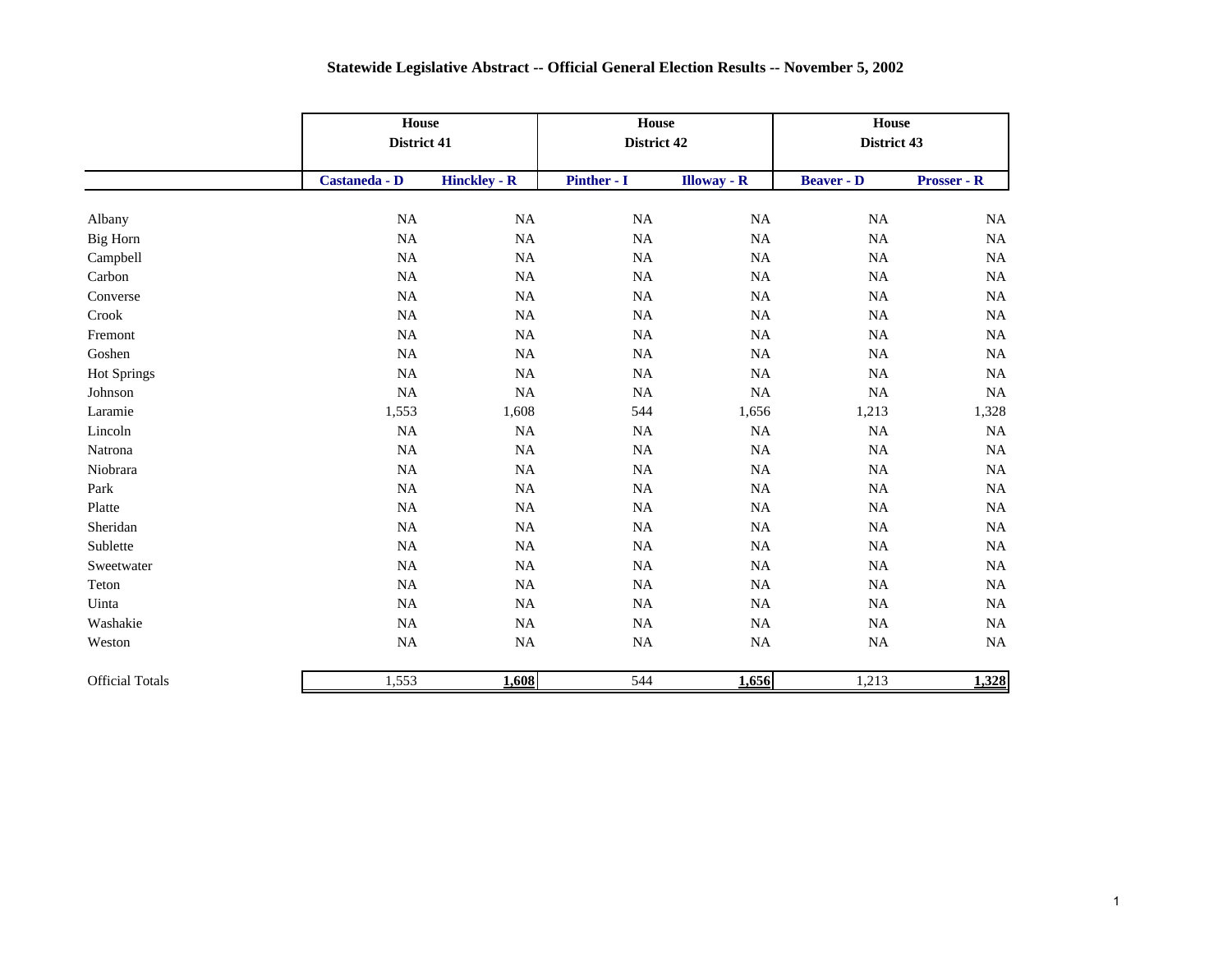|                        |               | House<br>District 41 |             | House<br>District 42 | House<br>District 43 |                    |
|------------------------|---------------|----------------------|-------------|----------------------|----------------------|--------------------|
|                        | Castaneda - D | <b>Hinckley - R</b>  | Pinther - I | <b>Illoway</b> - R   | <b>Beaver - D</b>    | <b>Prosser - R</b> |
| Albany                 | NA            | NA                   | NA          | NA                   | <b>NA</b>            | NA                 |
| Big Horn               | NA            | $\rm NA$             | <b>NA</b>   | NA                   | <b>NA</b>            | $\rm NA$           |
| Campbell               | NA            | $\rm NA$             | $_{\rm NA}$ | <b>NA</b>            | <b>NA</b>            | $\rm NA$           |
| Carbon                 | NA            | NA                   | $_{\rm NA}$ | NA                   | <b>NA</b>            | NA                 |
| Converse               | NA            | NA                   | NA          | <b>NA</b>            | <b>NA</b>            | $\rm NA$           |
| Crook                  | NA            | NA                   | $_{\rm NA}$ | NA                   | <b>NA</b>            | NA                 |
| Fremont                | NA            | $\rm NA$             | $_{\rm NA}$ | NA                   | NA                   | $\rm NA$           |
| Goshen                 | NA            | <b>NA</b>            | <b>NA</b>   | <b>NA</b>            | <b>NA</b>            | <b>NA</b>          |
| Hot Springs            | NA            | $\rm NA$             | $_{\rm NA}$ | $\rm NA$             | NA                   | $\rm NA$           |
| Johnson                | $\rm NA$      | $\rm NA$             | $_{\rm NA}$ | $\rm NA$             | NA                   | $\rm NA$           |
| Laramie                | 1,553         | 1,608                | 544         | 1,656                | 1,213                | 1,328              |
| Lincoln                | NA            | $_{\rm NA}$          | $_{\rm NA}$ | NA                   | NA                   | $\rm NA$           |
| Natrona                | NA            | $_{\rm NA}$          | <b>NA</b>   | NA                   | NA                   | $\rm NA$           |
| Niobrara               | NA            | $\rm NA$             | $_{\rm NA}$ | NA                   | <b>NA</b>            | NA                 |
| Park                   | NA            | $_{\rm NA}$          | $_{\rm NA}$ | NA                   | NA                   | $\rm NA$           |
| Platte                 | NA            | $_{\rm NA}$          | $_{\rm NA}$ | <b>NA</b>            | NA                   | $\rm NA$           |
| Sheridan               | NA            | $\rm NA$             | $\rm NA$    | NA                   | NA                   | $\rm NA$           |
| Sublette               | $_{\rm NA}$   | NA                   | $\rm NA$    | <b>NA</b>            | NA                   | $\rm NA$           |
| Sweetwater             | NA            | NA                   | $\rm NA$    | NA                   | NA                   | $\rm NA$           |
| Teton                  | $_{\rm NA}$   | $\rm NA$             | $\rm NA$    | $\rm NA$             | NA                   | $\rm NA$           |
| Uinta                  | $_{\rm NA}$   | $\rm NA$             | $\rm NA$    | $\rm NA$             | <b>NA</b>            | $\rm NA$           |
| Washakie               | $_{\rm NA}$   | $\rm NA$             | $\rm NA$    | NA                   | <b>NA</b>            | NA                 |
| Weston                 | $\rm NA$      | $\rm NA$             | $\rm NA$    | $\rm NA$             | NA                   | $\rm NA$           |
| <b>Official Totals</b> | 1,553         | 1,608                | 544         | 1,656                | 1,213                | 1,328              |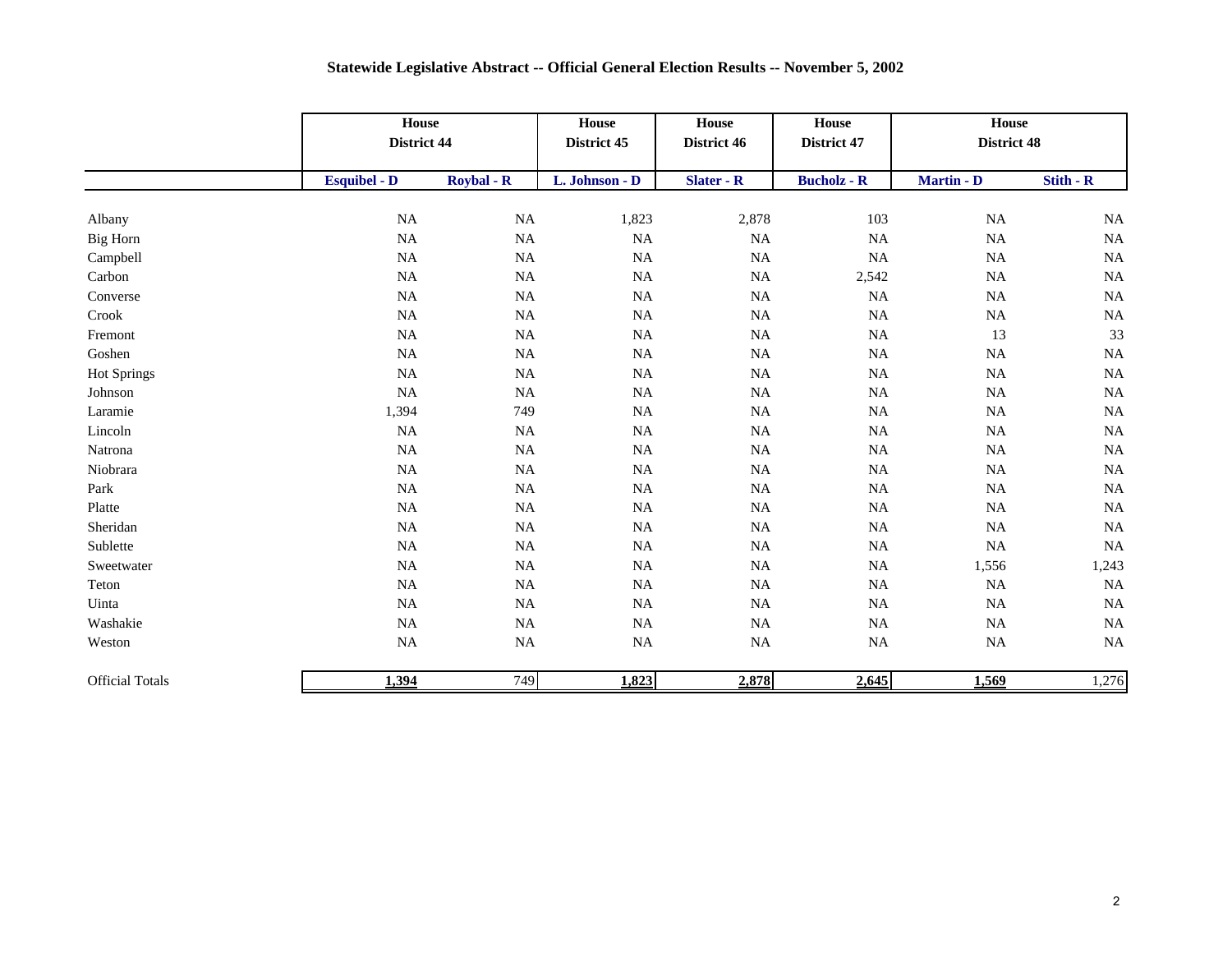|                        |                     | House<br>District 44 |                | House<br>District 46 | <b>House</b><br>District 47 | House<br>District 48 |           |
|------------------------|---------------------|----------------------|----------------|----------------------|-----------------------------|----------------------|-----------|
|                        | <b>Esquibel - D</b> | <b>Roybal - R</b>    | L. Johnson - D | <b>Slater - R</b>    | <b>Bucholz - R</b>          | <b>Martin - D</b>    | Stith - R |
| Albany                 | $_{\rm NA}$         | NA                   | 1,823          | 2,878                | 103                         | $_{\rm NA}$          | NA        |
| Big Horn               | $_{\rm NA}$         | NA                   | NA             | NA                   | <b>NA</b>                   | <b>NA</b>            | $\rm NA$  |
| Campbell               | <b>NA</b>           | <b>NA</b>            | $_{\rm NA}$    | $\rm NA$             | $\rm NA$                    | <b>NA</b>            | <b>NA</b> |
| Carbon                 | NA                  | NA                   | $_{\rm NA}$    | $\rm NA$             | 2,542                       | $_{\rm NA}$          | NA        |
| Converse               | $_{\rm NA}$         | NA                   | $_{\rm NA}$    | $\rm NA$             | NA                          | $_{\rm NA}$          | $\rm NA$  |
| Crook                  | $_{\rm NA}$         | $\rm NA$             | NA             | $\rm NA$             | NA                          | $_{\rm NA}$          | <b>NA</b> |
| Fremont                | $_{\rm NA}$         | NA                   | NA             | $\rm NA$             | NA                          | 13                   | 33        |
| Goshen                 | NA                  | NA                   | $_{\rm NA}$    | NA                   | NA                          | <b>NA</b>            | <b>NA</b> |
| <b>Hot Springs</b>     | <b>NA</b>           | NA                   | $_{\rm NA}$    | $\rm NA$             | NA                          | $_{\rm NA}$          | <b>NA</b> |
| Johnson                | <b>NA</b>           | NA                   | $_{\rm NA}$    | $\rm NA$             | NA                          | $_{\rm NA}$          | <b>NA</b> |
| Laramie                | 1,394               | 749                  | $_{\rm NA}$    | $\rm NA$             | $\rm NA$                    | $_{\rm NA}$          | <b>NA</b> |
| Lincoln                | $_{\rm NA}$         | NA                   | $\rm NA$       | $\rm NA$             | NA                          | <b>NA</b>            | $\rm NA$  |
| Natrona                | $_{\rm NA}$         | $_{\rm NA}$          | NA             | $\rm NA$             | NA                          | $_{\rm NA}$          | NA        |
| Niobrara               | <b>NA</b>           | NA                   | NA             | $\rm NA$             | NA                          | $_{\rm NA}$          | NA        |
| Park                   | $_{\rm NA}$         | NA                   | $_{\rm NA}$    | $\rm NA$             | NA                          | $_{\rm NA}$          | <b>NA</b> |
| Platte                 | $_{\rm NA}$         | NA                   | NA             | $\rm NA$             | $\rm NA$                    | $_{\rm NA}$          | NA        |
| Sheridan               | $_{\rm NA}$         | NA                   | NA             | $\rm NA$             | NA                          | $_{\rm NA}$          | NA        |
| Sublette               | NA                  | <b>NA</b>            | $_{\rm NA}$    | NA                   | NA                          | NA                   | NA        |
| Sweetwater             | $_{\rm NA}$         | NA                   | $_{\rm NA}$    | NA                   | NA                          | 1,556                | 1,243     |
| Teton                  | <b>NA</b>           | NA                   | $_{\rm NA}$    | $\rm NA$             | NA                          | NA                   | NA        |
| Uinta                  | $_{\rm NA}$         | NA                   | $_{\rm NA}$    | $\rm NA$             | NA                          | $_{\rm NA}$          | $\rm NA$  |
| Washakie               | $_{\rm NA}$         | NA                   | $\rm NA$       | $\rm NA$             | NA                          | <b>NA</b>            | NA        |
| Weston                 | $_{\rm NA}$         | NA                   | NA             | $\rm NA$             | NA                          | $_{\rm NA}$          | NA        |
| <b>Official Totals</b> | 1,394               | 749                  | 1,823          | 2,878                | 2,645                       | 1,569                | 1,276     |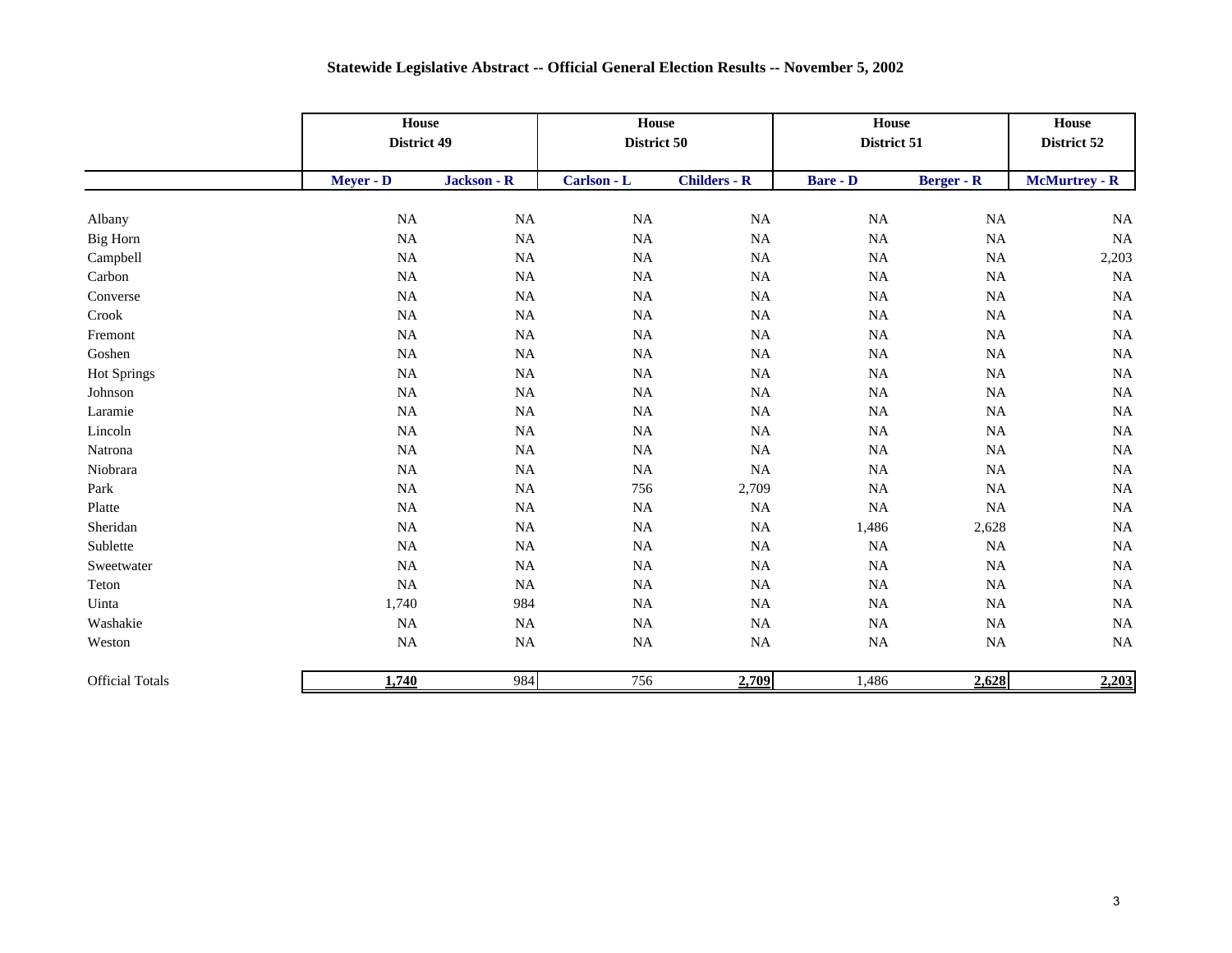|                        | House<br>District 49 |             | House<br>District 50 |                     | House<br>District 51 |                   | <b>House</b><br>District 52 |
|------------------------|----------------------|-------------|----------------------|---------------------|----------------------|-------------------|-----------------------------|
|                        | Meyer - D            | Jackson - R | Carlson - L          | <b>Childers - R</b> | <b>Bare - D</b>      | <b>Berger - R</b> | <b>McMurtrey - R</b>        |
| Albany                 | $_{\rm NA}$          | $_{\rm NA}$ | NA                   | $_{\rm NA}$         | $_{\rm NA}$          | NA                | NA                          |
| <b>Big Horn</b>        | NA                   | $_{\rm NA}$ | <b>NA</b>            | $\rm NA$            | NA                   | NA                | <b>NA</b>                   |
| Campbell               | NA                   | $_{\rm NA}$ | $_{\rm NA}$          | $\rm NA$            | NA                   | NA                | 2,203                       |
| Carbon                 | NA                   | NA          | $_{\rm NA}$          | $\rm NA$            | NA                   | NA                | <b>NA</b>                   |
| Converse               | NA                   | NA          | <b>NA</b>            | $\rm NA$            | <b>NA</b>            | NA                | <b>NA</b>                   |
| Crook                  | NA                   | $_{\rm NA}$ | <b>NA</b>            | $\rm NA$            | NA                   | NA                | NA                          |
| Fremont                | $_{\rm NA}$          | $\rm NA$    | $\rm NA$             | $\rm NA$            | NA                   | NA                | $\rm NA$                    |
| Goshen                 | $_{\rm NA}$          | $\rm NA$    | <b>NA</b>            | $\rm NA$            | NA                   | NA                | NA                          |
| <b>Hot Springs</b>     | NA                   | NA          | <b>NA</b>            | NA                  | <b>NA</b>            | NA                | $\rm NA$                    |
| Johnson                | $_{\rm NA}$          | <b>NA</b>   | <b>NA</b>            | $\rm NA$            | NA                   | NA                | <b>NA</b>                   |
| Laramie                | $_{\rm NA}$          | $\rm NA$    | <b>NA</b>            | $\rm NA$            | <b>NA</b>            | NA                | <b>NA</b>                   |
| Lincoln                | NA                   | NA          | <b>NA</b>            | $\rm NA$            | <b>NA</b>            | NA                | NA                          |
| Natrona                | $_{\rm NA}$          | $\rm NA$    | <b>NA</b>            | $\rm NA$            | $_{\rm NA}$          | NA                | $\rm NA$                    |
| Niobrara               | $\rm NA$             | $\rm NA$    | <b>NA</b>            | NA                  | NA                   | NA                | <b>NA</b>                   |
| Park                   | $_{\rm NA}$          | <b>NA</b>   | 756                  | 2,709               | <b>NA</b>            | NA                | <b>NA</b>                   |
| Platte                 | $_{\rm NA}$          | $\rm NA$    | $\rm NA$             | $\rm NA$            | <b>NA</b>            | NA                | NA                          |
| Sheridan               | NA                   | NA          | <b>NA</b>            | $\rm NA$            | 1,486                | 2,628             | <b>NA</b>                   |
| Sublette               | NA                   | NA          | <b>NA</b>            | $\rm NA$            | <b>NA</b>            | NA                | NA                          |
| Sweetwater             | $_{\rm NA}$          | $_{\rm NA}$ | $_{\rm NA}$          | $\rm NA$            | <b>NA</b>            | NA                | NA                          |
| Teton                  | NA                   | NA          | <b>NA</b>            | $\rm NA$            | <b>NA</b>            | <b>NA</b>         | NA                          |
| Uinta                  | 1,740                | 984         | <b>NA</b>            | <b>NA</b>           | <b>NA</b>            | NA                | NA                          |
| Washakie               | <b>NA</b>            | <b>NA</b>   | <b>NA</b>            | NA                  | <b>NA</b>            | NA                | <b>NA</b>                   |
| Weston                 | NA                   | $_{\rm NA}$ | NA                   | $\rm NA$            | <b>NA</b>            | NA                | <b>NA</b>                   |
| <b>Official Totals</b> | 1,740                | 984         | 756                  | 2,709               | 1,486                | 2,628             | 2,203                       |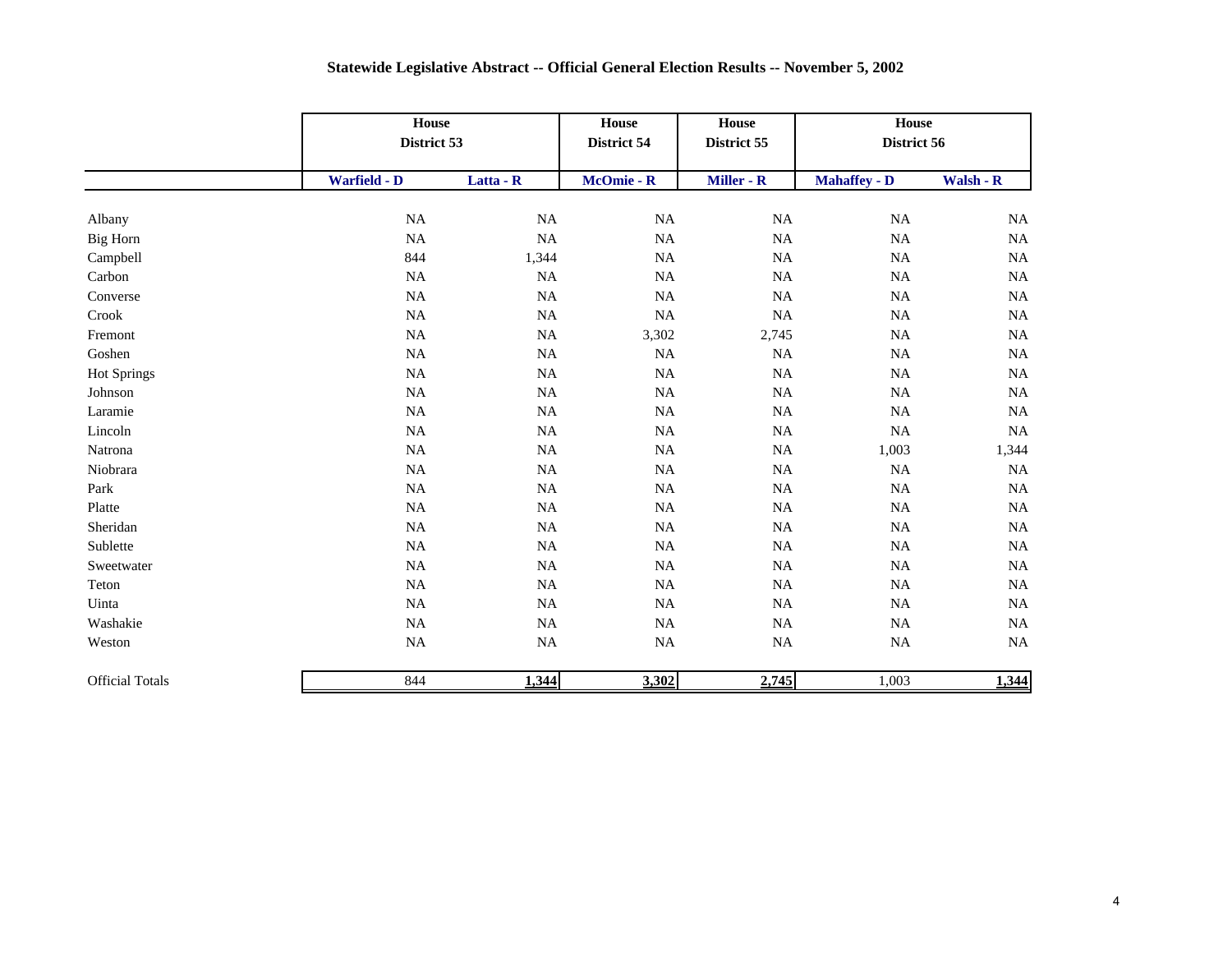|                        |              | House<br>District 53 |             | House<br>District 55 | House<br>District 56 |           |
|------------------------|--------------|----------------------|-------------|----------------------|----------------------|-----------|
|                        | Warfield - D | Latta - R            | McOmie - R  | Miller - R           | <b>Mahaffey - D</b>  | Walsh - R |
| Albany                 | $\rm NA$     | $\rm NA$             | $_{\rm NA}$ | $\rm NA$             | $\rm NA$             | NA        |
| Big Horn               | $\rm NA$     | $\rm NA$             | <b>NA</b>   | $\rm NA$             | $\rm NA$             | NA        |
| Campbell               | 844          | 1,344                | NA          | NA                   | $\rm NA$             | NA        |
| Carbon                 | $\rm NA$     | NA                   | <b>NA</b>   | $\rm NA$             | $\rm NA$             | NA        |
| Converse               | $\rm NA$     | $\rm NA$             | <b>NA</b>   | $\rm NA$             | $\rm NA$             | NA        |
| Crook                  | <b>NA</b>    | <b>NA</b>            | <b>NA</b>   | NA                   | $\rm NA$             | NA        |
| Fremont                | $\rm NA$     | $\rm NA$             | 3,302       | 2,745                | $\rm NA$             | NA        |
| Goshen                 | $\rm NA$     | $\rm NA$             | $_{\rm NA}$ | $\rm NA$             | $\rm NA$             | NA        |
| <b>Hot Springs</b>     | $\rm NA$     | $\rm NA$             | NA          | $\rm NA$             | $\rm NA$             | NA        |
| Johnson                | $\rm NA$     | $\rm NA$             | NA          | $\rm NA$             | $\rm NA$             | NA        |
| Laramie                | $\rm NA$     | $\rm NA$             | $_{\rm NA}$ | <b>NA</b>            | $\rm NA$             | NA        |
| Lincoln                | NA           | $\rm NA$             | <b>NA</b>   | $\rm NA$             | NA                   | NA        |
| Natrona                | $\rm NA$     | $\rm NA$             | $_{\rm NA}$ | $\rm NA$             | 1,003                | 1,344     |
| Niobrara               | NA           | NA                   | <b>NA</b>   | NA                   | NA                   | NA        |
| Park                   | $\rm NA$     | $\rm NA$             | <b>NA</b>   | $\rm NA$             | $\rm NA$             | NA        |
| Platte                 | <b>NA</b>    | <b>NA</b>            | <b>NA</b>   | $\rm NA$             | $\rm NA$             | NA        |
| Sheridan               | $\rm NA$     | $\rm NA$             | NA          | $\rm NA$             | $\rm NA$             | NA        |
| Sublette               | $\rm NA$     | $\rm NA$             | <b>NA</b>   | $\rm NA$             | $\rm NA$             | NA        |
| Sweetwater             | $\rm NA$     | $\rm NA$             | $\rm NA$    | $\rm NA$             | $\rm NA$             | NA        |
| Teton                  | $\rm NA$     | $\rm NA$             | $_{\rm NA}$ | $\rm NA$             | $\rm NA$             | NA        |
| Uinta                  | $\rm NA$     | $\rm NA$             | <b>NA</b>   | $\rm NA$             | $\rm NA$             | NA        |
| Washakie               | $\rm NA$     | $\rm NA$             | $_{\rm NA}$ | $\rm NA$             | $\rm NA$             | NA        |
| Weston                 | $\rm NA$     | $\rm NA$             | $\rm NA$    | $\rm NA$             | $\rm NA$             | NA        |
| <b>Official Totals</b> | 844          | 1,344                | 3,302       | 2,745                | 1,003                | 1,344     |